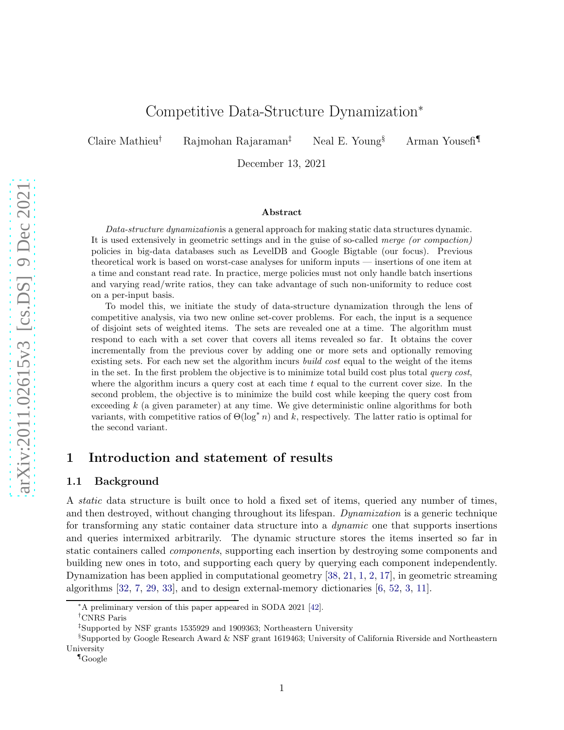# Competitive Data-Structure Dynamization<sup>∗</sup>

Claire Mathieu<sup>†</sup> Rajmohan Rajaraman<sup>‡</sup> Neal E. Young<sup>§</sup> Arman Yousefi<sup>¶</sup>

December 13, 2021

#### Abstract

Data-structure dynamizationis a general approach for making static data structures dynamic. It is used extensively in geometric settings and in the guise of so-called merge (or compaction) policies in big-data databases such as LevelDB and Google Bigtable (our focus). Previous theoretical work is based on worst-case analyses for uniform inputs — insertions of one item at a time and constant read rate. In practice, merge policies must not only handle batch insertions and varying read/write ratios, they can take advantage of such non-uniformity to reduce cost on a per-input basis.

To model this, we initiate the study of data-structure dynamization through the lens of competitive analysis, via two new online set-cover problems. For each, the input is a sequence of disjoint sets of weighted items. The sets are revealed one at a time. The algorithm must respond to each with a set cover that covers all items revealed so far. It obtains the cover incrementally from the previous cover by adding one or more sets and optionally removing existing sets. For each new set the algorithm incurs *build cost* equal to the weight of the items in the set. In the first problem the objective is to minimize total build cost plus total *query cost*, where the algorithm incurs a query cost at each time  $t$  equal to the current cover size. In the second problem, the objective is to minimize the build cost while keeping the query cost from exceeding k (a given parameter) at any time. We give deterministic online algorithms for both variants, with competitive ratios of  $\Theta(\log^* n)$  and k, respectively. The latter ratio is optimal for the second variant.

### <span id="page-0-0"></span>1 Introduction and statement of results

### 1.1 Background

A static data structure is built once to hold a fixed set of items, queried any number of times, and then destroyed, without changing throughout its lifespan. Dynamization is a generic technique for transforming any static container data structure into a dynamic one that supports insertions and queries intermixed arbitrarily. The dynamic structure stores the items inserted so far in static containers called components, supporting each insertion by destroying some components and building new ones in toto, and supporting each query by querying each component independently. Dynamization has been applied in computational geometry [\[38,](#page-27-0) [21,](#page-26-0) [1,](#page-24-0) [2,](#page-24-1) [17\]](#page-25-0), in geometric streaming algorithms [\[32,](#page-26-1) [7,](#page-25-1) [29,](#page-26-2) [33\]](#page-27-1), and to design external-memory dictionaries [\[6,](#page-25-2) [52,](#page-28-0) [3,](#page-24-2) [11\]](#page-25-3).

<sup>∗</sup>A preliminary version of this paper appeared in SODA 2021 [\[42\]](#page-27-2).

<sup>†</sup>CNRS Paris

<sup>‡</sup> Supported by NSF grants 1535929 and 1909363; Northeastern University

 $$Supported by Google Research Award & NSF grant 1619463; University of California Riverside and Northerne$ University

<sup>¶</sup>Google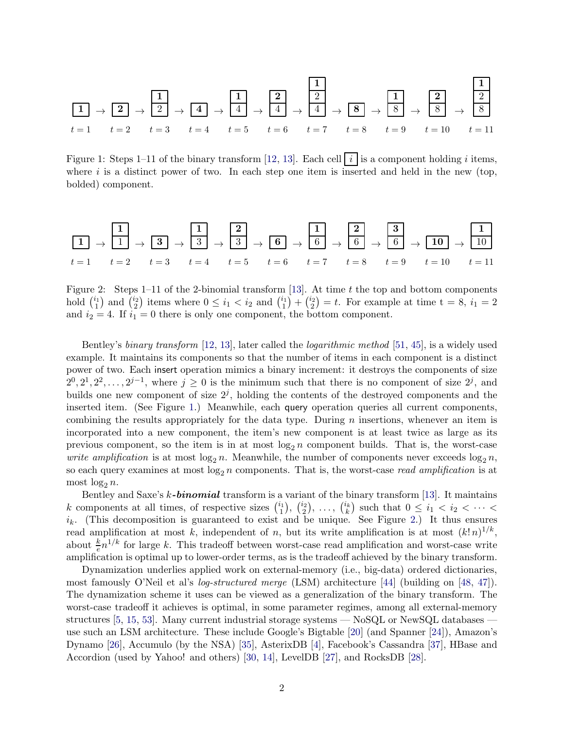1 t = 1 <sup>→</sup> <sup>2</sup> t = 2 → 1 2 t = 3 <sup>→</sup> <sup>4</sup> t = 4 → 1 4 t = 5 → 2 4 t = 6 → 1 2 4 t = 7 <sup>→</sup> <sup>8</sup> t = 8 → 1 8 t = 9 → 2 8 t = 10 → 1 2 8 t = 11

<span id="page-1-0"></span>Figure 1: Steps 1–11 of the binary transform [\[12,](#page-25-4) [13\]](#page-25-5). Each cell i is a component holding i items, where  $i$  is a distinct power of two. In each step one item is inserted and held in the new (top, bolded) component.



<span id="page-1-1"></span>Figure 2: Steps 1–11 of the 2-binomial transform [\[13\]](#page-25-5). At time  $t$  the top and bottom components hold  $\binom{i_1}{1}$  $\binom{i_1}{1}$  and  $\binom{i_2}{2}$  $\binom{i_2}{2}$  items where  $0 \leq i_1 < i_2$  and  $\binom{i_1}{1}$  $\binom{i_1}{1} + \binom{i_2}{2}$  $(z_2^2) = t$ . For example at time  $t = 8, i_1 = 2$ and  $i_2 = 4$ . If  $i_1 = 0$  there is only one component, the bottom component.

Bentley's binary transform [\[12,](#page-25-4) [13\]](#page-25-5), later called the logarithmic method [\[51,](#page-28-1) [45\]](#page-27-3), is a widely used example. It maintains its components so that the number of items in each component is a distinct power of two. Each insert operation mimics a binary increment: it destroys the components of size  $2^0, 2^1, 2^2, \ldots, 2^{j-1}$ , where  $j \geq 0$  is the minimum such that there is no component of size  $2^j$ , and builds one new component of size  $2<sup>j</sup>$ , holding the contents of the destroyed components and the inserted item. (See Figure [1.](#page-1-0)) Meanwhile, each query operation queries all current components, combining the results appropriately for the data type. During  $n$  insertions, whenever an item is incorporated into a new component, the item's new component is at least twice as large as its previous component, so the item is in at most  $log_2 n$  component builds. That is, the worst-case write amplification is at most  $\log_2 n$ . Meanwhile, the number of components never exceeds  $\log_2 n$ , so each query examines at most  $\log_2 n$  components. That is, the worst-case read amplification is at most  $\log_2 n$ .

Bentley and Saxe's  $k$ -binomial transform is a variant of the binary transform [\[13\]](#page-25-5). It maintains k components at all times, of respective sizes  $\binom{i_1}{1}$  $\binom{i_1}{1}, \ \binom{i_2}{2}$  $\binom{i_2}{2}, \ldots, \binom{i_k}{k}$  such that  $0 \leq i_1 < i_2 < \cdots <$  $i_k$ . (This decomposition is guaranteed to exist and be unique. See Figure [2.](#page-1-1)) It thus ensures read amplification at most k, independent of n, but its write amplification is at most  $(k! n)^{1/k}$ , about  $\frac{k}{e}n^{1/k}$  for large k. This tradeoff between worst-case read amplification and worst-case write amplification is optimal up to lower-order terms, as is the tradeoff achieved by the binary transform.

Dynamization underlies applied work on external-memory (i.e., big-data) ordered dictionaries, most famously O'Neil et al's log-structured merge (LSM) architecture [\[44\]](#page-27-4) (building on [\[48,](#page-28-2) [47\]](#page-27-5)). The dynamization scheme it uses can be viewed as a generalization of the binary transform. The worst-case tradeoff it achieves is optimal, in some parameter regimes, among all external-memory structures [\[5,](#page-25-6) [15,](#page-25-7) [53\]](#page-28-3). Many current industrial storage systems — NoSQL or NewSQL databases use such an LSM architecture. These include Google's Bigtable [\[20\]](#page-26-3) (and Spanner [\[24\]](#page-26-4)), Amazon's Dynamo [\[26\]](#page-26-5), Accumulo (by the NSA) [\[35\]](#page-27-6), AsterixDB [\[4\]](#page-24-3), Facebook's Cassandra [\[37\]](#page-27-7), HBase and Accordion (used by Yahoo! and others) [\[30,](#page-26-6) [14\]](#page-25-8), LevelDB [\[27\]](#page-26-7), and RocksDB [\[28\]](#page-26-8).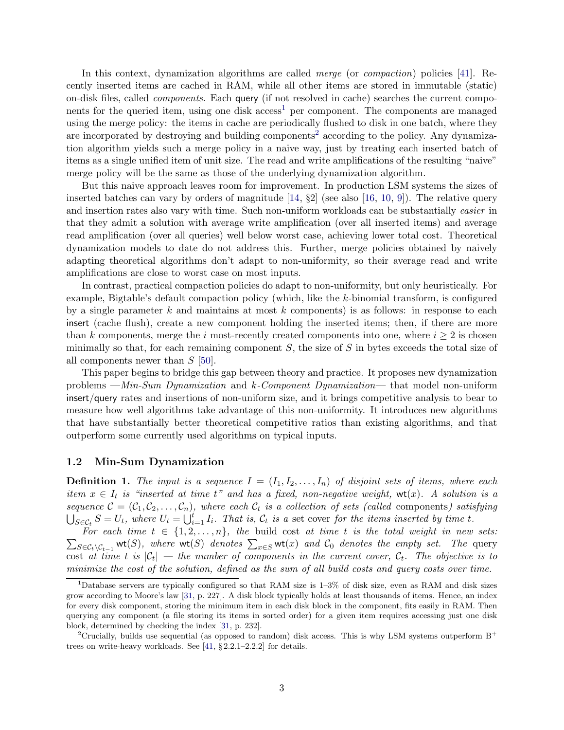In this context, dynamization algorithms are called merge (or compaction) policies [\[41\]](#page-27-8). Recently inserted items are cached in RAM, while all other items are stored in immutable (static) on-disk files, called components. Each query (if not resolved in cache) searches the current components for the queried item, using one disk  $access<sup>1</sup>$  $access<sup>1</sup>$  $access<sup>1</sup>$  per component. The components are managed using the merge policy: the items in cache are periodically flushed to disk in one batch, where they are incorporated by destroying and building components<sup>[2](#page-2-1)</sup> according to the policy. Any dynamization algorithm yields such a merge policy in a naive way, just by treating each inserted batch of items as a single unified item of unit size. The read and write amplifications of the resulting "naive" merge policy will be the same as those of the underlying dynamization algorithm.

But this naive approach leaves room for improvement. In production LSM systems the sizes of inserted batches can vary by orders of magnitude  $[14, 82]$  (see also  $[16, 10, 9]$  $[16, 10, 9]$  $[16, 10, 9]$  $[16, 10, 9]$ ). The relative query and insertion rates also vary with time. Such non-uniform workloads can be substantially easier in that they admit a solution with average write amplification (over all inserted items) and average read amplification (over all queries) well below worst case, achieving lower total cost. Theoretical dynamization models to date do not address this. Further, merge policies obtained by naively adapting theoretical algorithms don't adapt to non-uniformity, so their average read and write amplifications are close to worst case on most inputs.

In contrast, practical compaction policies do adapt to non-uniformity, but only heuristically. For example, Bigtable's default compaction policy (which, like the k-binomial transform, is configured by a single parameter k and maintains at most k components) is as follows: in response to each insert (cache flush), create a new component holding the inserted items; then, if there are more than k components, merge the i most-recently created components into one, where  $i \geq 2$  is chosen minimally so that, for each remaining component  $S$ , the size of  $S$  in bytes exceeds the total size of all components newer than  $S$  [\[50\]](#page-28-4).

This paper begins to bridge this gap between theory and practice. It proposes new dynamization problems —Min-Sum Dynamization and k-Component Dynamization— that model non-uniform insert/query rates and insertions of non-uniform size, and it brings competitive analysis to bear to measure how well algorithms take advantage of this non-uniformity. It introduces new algorithms that have substantially better theoretical competitive ratios than existing algorithms, and that outperform some currently used algorithms on typical inputs.

### 1.2 Min-Sum Dynamization

**Definition 1.** The input is a sequence  $I = (I_1, I_2, \ldots, I_n)$  of disjoint sets of items, where each item  $x \in I_t$  is "inserted at time t" and has a fixed, non-negative weight,  $wt(x)$ . A solution is a sequence  $\mathcal{C} = (\mathcal{C}_1, \mathcal{C}_2, \ldots, \mathcal{C}_n)$ , where each  $\mathcal{C}_t$  is a collection of sets (called components) satisfying  $\bigcup_{S \in \mathcal{C}_t} S = U_t$ , where  $U_t = \bigcup_{i=1}^t I_i$ . That is,  $\mathcal{C}_t$  is a set cover for the items inserted by time t.

 $\sum_{S \in \mathcal{C}_t \setminus \mathcal{C}_{t-1}} \mathsf{wt}(S)$ , where  $\mathsf{wt}(S)$  denotes  $\sum_{x \in S} \mathsf{wt}(x)$  and  $\mathcal{C}_0$  denotes the empty set. The query For each time  $t \in \{1, 2, ..., n\}$ , the build cost at time t is the total weight in new sets:  $S\in\mathcal{C}_t\backslash\mathcal{C}_{t-1}$ cost at time t is  $|\mathcal{C}_t|$  — the number of components in the current cover,  $\mathcal{C}_t$ . The objective is to minimize the cost of the solution, defined as the sum of all build costs and query costs over time.

<span id="page-2-0"></span> $1$ Database servers are typically configured so that RAM size is  $1-3\%$  of disk size, even as RAM and disk sizes grow according to Moore's law [\[31,](#page-26-9) p. 227]. A disk block typically holds at least thousands of items. Hence, an index for every disk component, storing the minimum item in each disk block in the component, fits easily in RAM. Then querying any component (a file storing its items in sorted order) for a given item requires accessing just one disk block, determined by checking the index [\[31,](#page-26-9) p. 232].

<span id="page-2-1"></span><sup>&</sup>lt;sup>2</sup>Crucially, builds use sequential (as opposed to random) disk access. This is why LSM systems outperform  $B^+$ trees on write-heavy workloads. See [\[41,](#page-27-8) § 2.2.1–2.2.2] for details.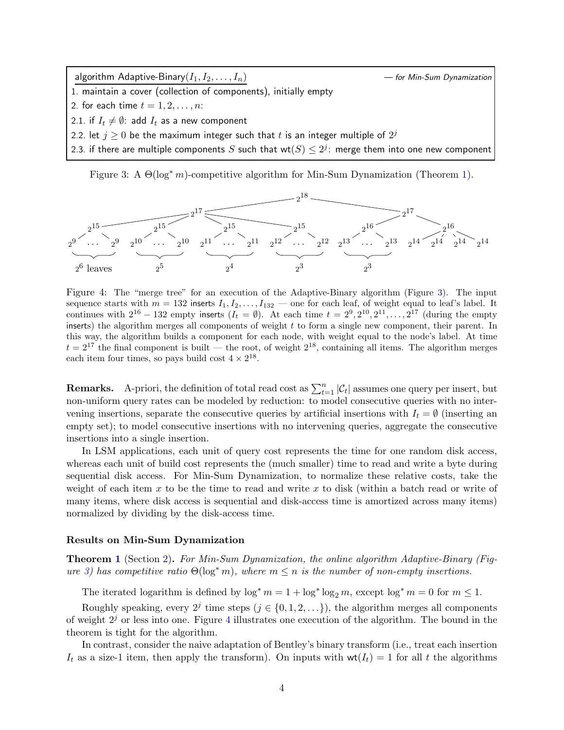algorithm Adaptive-Binary $(I_1, I_2, \ldots, I_n)$   $\hspace{1.6cm}$   $\hspace{1.6cm}$   $\hspace{1.6cm}$  for Min-Sum Dynamization

- 1. maintain a cover (collection of components), initially empty
- <span id="page-3-4"></span>2. for each time  $t = 1, 2, \ldots, n$ :
- <span id="page-3-2"></span>2.1. if  $I_t \neq \emptyset$ : add  $I_t$  as a new component
- <span id="page-3-3"></span>2.2. let  $j\geq 0$  be the maximum integer such that  $t$  is an integer multiple of  $2^j$
- 2.3. if there are multiple components  $S$  such that  $\mathsf{wt}(S) \le 2^j$ : merge them into one new component

<span id="page-3-0"></span>Figure 3: A  $\Theta(\log^* m)$ -competitive algorithm for Min-Sum Dynamization (Theorem [1\)](#page-7-0).



<span id="page-3-1"></span>Figure 4: The "merge tree" for an execution of the Adaptive-Binary algorithm (Figure [3\)](#page-3-0). The input sequence starts with  $m = 132$  inserts  $I_1, I_2, \ldots, I_{132}$  — one for each leaf, of weight equal to leaf's label. It continues with  $2^{16} - 132$  empty inserts  $(I_t = \emptyset)$ . At each time  $t = 2^9, 2^{10}, 2^{11}, \ldots, 2^{17}$  (during the empty inserts) the algorithm merges all components of weight  $t$  to form a single new component, their parent. In this way, the algorithm builds a component for each node, with weight equal to the node's label. At time  $t = 2^{17}$  the final component is built — the root, of weight  $2^{18}$ , containing all items. The algorithm merges each item four times, so pays build cost  $4 \times 2^{18}$ .

**Remarks.** A-priori, the definition of total read cost as  $\sum_{t=1}^{n} |\mathcal{C}_t|$  assumes one query per insert, but non-uniform query rates can be modeled by reduction: to model consecutive queries with no intervening insertions, separate the consecutive queries by artificial insertions with  $I_t = \emptyset$  (inserting an empty set); to model consecutive insertions with no intervening queries, aggregate the consecutive insertions into a single insertion.

In LSM applications, each unit of query cost represents the time for one random disk access, whereas each unit of build cost represents the (much smaller) time to read and write a byte during sequential disk access. For Min-Sum Dynamization, to normalize these relative costs, take the weight of each item x to be the time to read and write x to disk (within a batch read or write of many items, where disk access is sequential and disk-access time is amortized across many items) normalized by dividing by the disk-access time.

#### Results on Min-Sum Dynamization

**Theorem [1](#page-7-0)** (Section [2\)](#page-7-1). For Min-Sum Dynamization, the online algorithm Adaptive-Binary (Fig-ure [3\)](#page-3-0) has competitive ratio  $\Theta(\log^* m)$ , where  $m \leq n$  is the number of non-empty insertions.

The iterated logarithm is defined by  $\log^* m = 1 + \log^* \log_2 m$ , except  $\log^* m = 0$  for  $m \leq 1$ .

Roughly speaking, every  $2^j$  time steps  $(j \in \{0, 1, 2, \ldots\})$ , the algorithm merges all components of weight  $2<sup>j</sup>$  or less into one. Figure [4](#page-3-1) illustrates one execution of the algorithm. The bound in the theorem is tight for the algorithm.

In contrast, consider the naive adaptation of Bentley's binary transform (i.e., treat each insertion  $I_t$  as a size-1 item, then apply the transform). On inputs with  $wt(I_t) = 1$  for all t the algorithms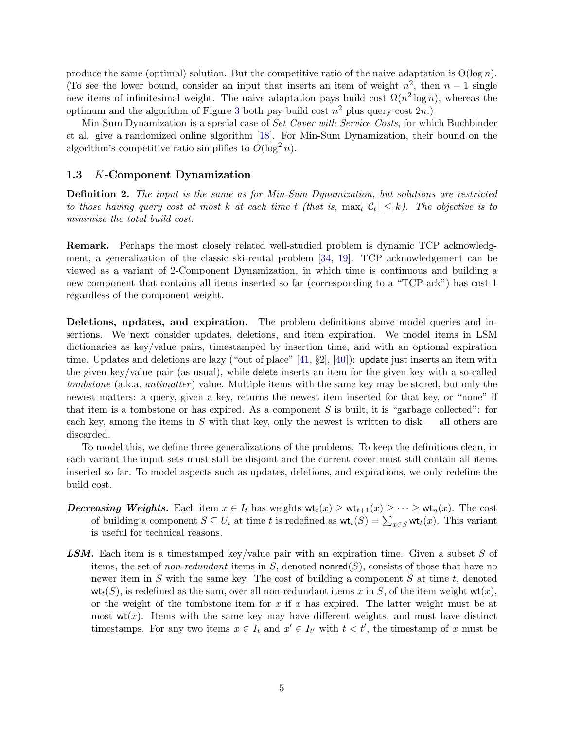produce the same (optimal) solution. But the competitive ratio of the naive adaptation is  $\Theta(\log n)$ . (To see the lower bound, consider an input that inserts an item of weight  $n^2$ , then  $n-1$  single new items of infinitesimal weight. The naive adaptation pays build cost  $\Omega(n^2 \log n)$ , whereas the optimum and the algorithm of Figure [3](#page-3-0) both pay build cost  $n^2$  plus query cost  $2n$ .

Min-Sum Dynamization is a special case of *Set Cover with Service Costs*, for which Buchbinder et al. give a randomized online algorithm [\[18\]](#page-25-12). For Min-Sum Dynamization, their bound on the algorithm's competitive ratio simplifies to  $O(\log^2 n)$ .

#### 1.3 K-Component Dynamization

Definition 2. The input is the same as for Min-Sum Dynamization, but solutions are restricted to those having query cost at most k at each time t (that is,  $\max_t |\mathcal{C}_t| \leq k$ ). The objective is to minimize the total build cost.

Remark. Perhaps the most closely related well-studied problem is dynamic TCP acknowledgment, a generalization of the classic ski-rental problem [\[34,](#page-27-9) [19\]](#page-26-10). TCP acknowledgement can be viewed as a variant of 2-Component Dynamization, in which time is continuous and building a new component that contains all items inserted so far (corresponding to a "TCP-ack") has cost 1 regardless of the component weight.

Deletions, updates, and expiration. The problem definitions above model queries and insertions. We next consider updates, deletions, and item expiration. We model items in LSM dictionaries as key/value pairs, timestamped by insertion time, and with an optional expiration time. Updates and deletions are lazy ("out of place" [\[41,](#page-27-8) §2], [\[40\]](#page-27-10)): update just inserts an item with the given key/value pair (as usual), while delete inserts an item for the given key with a so-called tombstone (a.k.a. *antimatter*) value. Multiple items with the same key may be stored, but only the newest matters: a query, given a key, returns the newest item inserted for that key, or "none" if that item is a tombstone or has expired. As a component  $S$  is built, it is "garbage collected": for each key, among the items in S with that key, only the newest is written to disk — all others are discarded.

To model this, we define three generalizations of the problems. To keep the definitions clean, in each variant the input sets must still be disjoint and the current cover must still contain all items inserted so far. To model aspects such as updates, deletions, and expirations, we only redefine the build cost.

- **Decreasing Weights.** Each item  $x \in I_t$  has weights  $\mathsf{wt}_t(x) \geq \mathsf{wt}_{t+1}(x) \geq \cdots \geq \mathsf{wt}_n(x)$ . The cost of building a component  $S \subseteq U_t$  at time t is redefined as  $\mathsf{wt}_t(S) = \sum_{x \in S} \mathsf{wt}_t(x)$ . This variant is useful for technical reasons.
- **LSM.** Each item is a timestamped key/value pair with an expiration time. Given a subset S of items, the set of non-redundant items in S, denoted nonred $(S)$ , consists of those that have no newer item in S with the same key. The cost of building a component S at time  $t$ , denoted  $\mathsf{wt}_t(S)$ , is redefined as the sum, over all non-redundant items x in S, of the item weight  $\mathsf{wt}(x)$ , or the weight of the tombstone item for x if x has expired. The latter weight must be at most  $wt(x)$ . Items with the same key may have different weights, and must have distinct timestamps. For any two items  $x \in I_t$  and  $x' \in I_{t'}$  with  $t < t'$ , the timestamp of x must be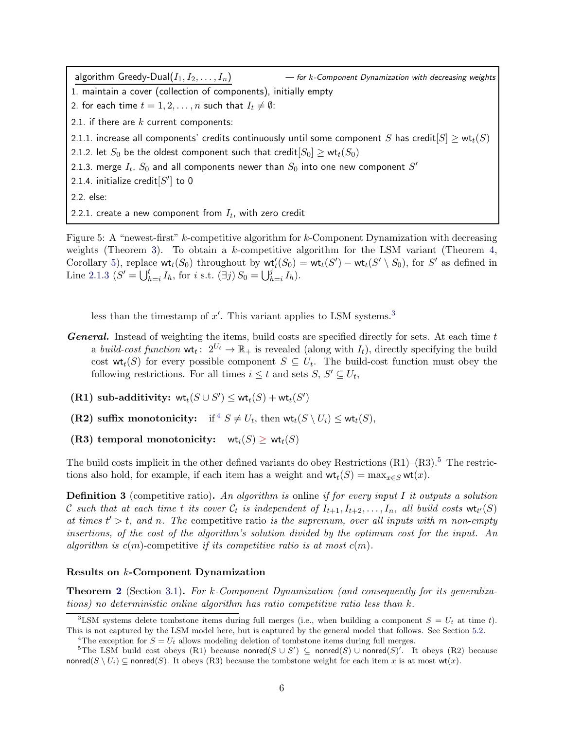<span id="page-5-7"></span><span id="page-5-6"></span><span id="page-5-0"></span>algorithm Greedy-Dual $(I_1, I_2, \ldots, I_n)$  and the state of the Component Dynamization with decreasing weights 1. maintain a cover (collection of components), initially empty 2. for each time  $t = 1, 2, ..., n$  such that  $I_t \neq \emptyset$ : 2.1. if there are  $k$  current components: 2.1.1. increase all components' credits continuously until some component S has credit $|S| \geq \text{wt}_t(S)$ 2.1.2. let  $S_0$  be the oldest component such that credit $[S_0] \geq \text{wt}_t(S_0)$ 2.1.3. merge  $I_t$ ,  $S_0$  and all components newer than  $S_0$  into one new component  $S^\prime$ 2.1.4. initialize credit $[S^\prime]$  to  $0$ 2.2. else: 2.2.1. create a new component from  $I_t$ , with zero credit

<span id="page-5-8"></span><span id="page-5-5"></span><span id="page-5-4"></span>Figure 5: A "newest-first" k-competitive algorithm for k-Component Dynamization with decreasing weights (Theorem [3\)](#page-15-0). To obtain a k-competitive algorithm for the LSM variant (Theorem [4,](#page-17-0) Corollary [5\)](#page-18-0), replace  $\text{wt}_t(S_0)$  throughout by  $\text{wt}'_t(S_0) = \text{wt}_t(S') - \text{wt}_t(S' \setminus S_0)$ , for S' as defined in Line [2.1.3](#page-5-0)  $(S' = \bigcup_{h=i}^{t} I_h)$ , for *i* s.t.  $(\exists j) S_0 = \bigcup_{h=i}^{j} I_h$ .

less than the timestamp of  $x'$ . This variant applies to LSM systems.<sup>[3](#page-5-1)</sup>

- **General.** Instead of weighting the items, build costs are specified directly for sets. At each time t a build-cost function  $\mathsf{wt}_t: 2^{U_t} \to \mathbb{R}_+$  is revealed (along with  $I_t$ ), directly specifying the build cost  $\mathsf{wt}_t(S)$  for every possible component  $S \subseteq U_t$ . The build-cost function must obey the following restrictions. For all times  $i \leq t$  and sets  $S, S' \subseteq U_t$ ,
- (R1) sub-additivity:  $\text{wt}_t(S \cup S') \leq \text{wt}_t(S) + \text{wt}_t(S')$
- (R2) suffix monotonicity: if  $S \neq U_t$ , then  $\mathsf{wt}_t(S \setminus U_i) \leq \mathsf{wt}_t(S)$ ,
- (R3) temporal monotonicity:  $\text{wt}_i(S) \geq \text{wt}_t(S)$

The build costs implicit in the other defined variants do obey Restrictions  $(R1)$ – $(R3)$ .<sup>[5](#page-5-3)</sup> The restrictions also hold, for example, if each item has a weight and  $\mathsf{wt}_t(S) = \max_{x \in S} \mathsf{wt}(x)$ .

**Definition 3** (competitive ratio). An algorithm is online if for every input I it outputs a solution C such that at each time t its cover  $\mathcal{C}_t$  is independent of  $I_{t+1}, I_{t+2}, \ldots, I_n$ , all build costs  $\mathsf{wt}_{t'}(S)$ at times  $t' > t$ , and n. The competitive ratio is the supremum, over all inputs with m non-empty insertions, of the cost of the algorithm's solution divided by the optimum cost for the input. An algorithm is  $c(m)$ -competitive if its competitive ratio is at most  $c(m)$ .

#### Results on k-Component Dynamization

Theorem [2](#page-13-0) (Section [3.1\)](#page-13-1). For k-Component Dynamization (and consequently for its generalizations) no deterministic online algorithm has ratio competitive ratio less than  $k$ .

<sup>&</sup>lt;sup>3</sup>LSM systems delete tombstone items during full merges (i.e., when building a component  $S = U_t$  at time t). This is not captured by the LSM model here, but is captured by the general model that follows. See Section [5.2.](#page-22-0)

<span id="page-5-2"></span><span id="page-5-1"></span><sup>&</sup>lt;sup>4</sup>The exception for  $S = U_t$  allows modeling deletion of tombstone items during full merges.

<span id="page-5-3"></span><sup>&</sup>lt;sup>5</sup>The LSM build cost obeys (R1) because nonred( $S \cup S'$ )  $\subseteq$  nonred( $S$ ) ∪ nonred( $S'$ )'. It obeys (R2) because nonred( $S \setminus U_i$ ) ⊂ nonred(S). It obeys (R3) because the tombstone weight for each item x is at most wt(x).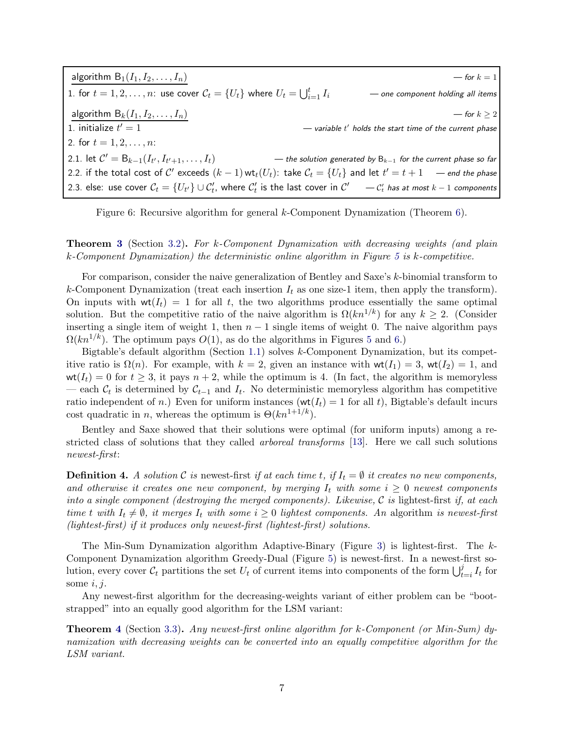| algorithm $B_1(I_1, I_2, \ldots, I_n)$                                                                                           | — for $k=1$                                                        |
|----------------------------------------------------------------------------------------------------------------------------------|--------------------------------------------------------------------|
| 1. for $t = 1, 2, \ldots, n$ : use cover $C_t = \{U_t\}$ where $U_t = \bigcup_{i=1}^t I_i$                                       | - one component holding all items                                  |
| algorithm $B_k(I_1, I_2, \ldots, I_n)$                                                                                           | — for $k \geq 2$                                                   |
| 1. initialize $t'=1$                                                                                                             | — variable $t'$ holds the start time of the current phase          |
| 2. for $t = 1, 2, , n$ :                                                                                                         |                                                                    |
| 2.1. let $C' = B_{k-1}(I_{t'}, I_{t'+1}, \ldots, I_t)$                                                                           | — the solution generated by $B_{k-1}$ for the current phase so far |
| 2.2. if the total cost of C' exceeds $(k-1)$ wt <sub>t</sub> $(U_t)$ : take $C_t = \{U_t\}$ and let $t' = t + 1$ — end the phase |                                                                    |
| 2.3. else: use cover $C_t = \{U_{t'}\} \cup C'_t$ , where $C'_t$ is the last cover in $C' = C'_t$ has at most $k-1$ components   |                                                                    |

<span id="page-6-0"></span>Figure 6: Recursive algorithm for general k-Component Dynamization (Theorem [6\)](#page-18-1).

Theorem [3](#page-15-0) (Section [3.2\)](#page-15-1). For k-Component Dynamization with decreasing weights (and plain k-Component Dynamization) the deterministic online algorithm in Figure [5](#page-5-4) is k-competitive.

For comparison, consider the naive generalization of Bentley and Saxe's k-binomial transform to k-Component Dynamization (treat each insertion  $I_t$  as one size-1 item, then apply the transform). On inputs with  $wt(I_t) = 1$  for all t, the two algorithms produce essentially the same optimal solution. But the competitive ratio of the naive algorithm is  $\Omega(kn^{1/k})$  for any  $k \geq 2$ . (Consider inserting a single item of weight 1, then  $n - 1$  single items of weight 0. The naive algorithm pays  $\Omega(kn^{1/k})$ . The optimum pays  $O(1)$ , as do the algorithms in Figures [5](#page-5-4) and [6.](#page-6-0))

Bigtable's default algorithm (Section [1.1\)](#page-0-0) solves k-Component Dynamization, but its competitive ratio is  $\Omega(n)$ . For example, with  $k = 2$ , given an instance with  $wt(I_1) = 3$ ,  $wt(I_2) = 1$ , and  $wt(I_t) = 0$  for  $t \geq 3$ , it pays  $n + 2$ , while the optimum is 4. (In fact, the algorithm is memoryless — each  $\mathcal{C}_t$  is determined by  $\mathcal{C}_{t-1}$  and  $I_t$ . No deterministic memoryless algorithm has competitive ratio independent of n.) Even for uniform instances ( $wt(I_t) = 1$  for all t), Bigtable's default incurs cost quadratic in n, whereas the optimum is  $\Theta(kn^{1+1/k})$ .

Bentley and Saxe showed that their solutions were optimal (for uniform inputs) among a restricted class of solutions that they called *arboreal transforms* [\[13\]](#page-25-5). Here we call such solutions newest-first:

**Definition 4.** A solution C is newest-first if at each time t, if  $I_t = \emptyset$  it creates no new components, and otherwise it creates one new component, by merging  $I_t$  with some  $i \geq 0$  newest components into a single component (destroying the merged components). Likewise,  $C$  is lightest-first if, at each time t with  $I_t \neq \emptyset$ , it merges  $I_t$  with some  $i \geq 0$  lightest components. An algorithm is newest-first (lightest-first) if it produces only newest-first (lightest-first) solutions.

The Min-Sum Dynamization algorithm Adaptive-Binary (Figure [3\)](#page-3-0) is lightest-first. The k-Component Dynamization algorithm Greedy-Dual (Figure [5\)](#page-5-4) is newest-first. In a newest-first solution, every cover  $\mathcal{C}_t$  partitions the set  $U_t$  of current items into components of the form  $\bigcup_{t=i}^j I_t$  for some  $i, j$ .

Any newest-first algorithm for the decreasing-weights variant of either problem can be "bootstrapped" into an equally good algorithm for the LSM variant:

Theorem [4](#page-17-0) (Section [3.3\)](#page-17-1). Any newest-first online algorithm for k-Component (or Min-Sum) dynamization with decreasing weights can be converted into an equally competitive algorithm for the LSM variant.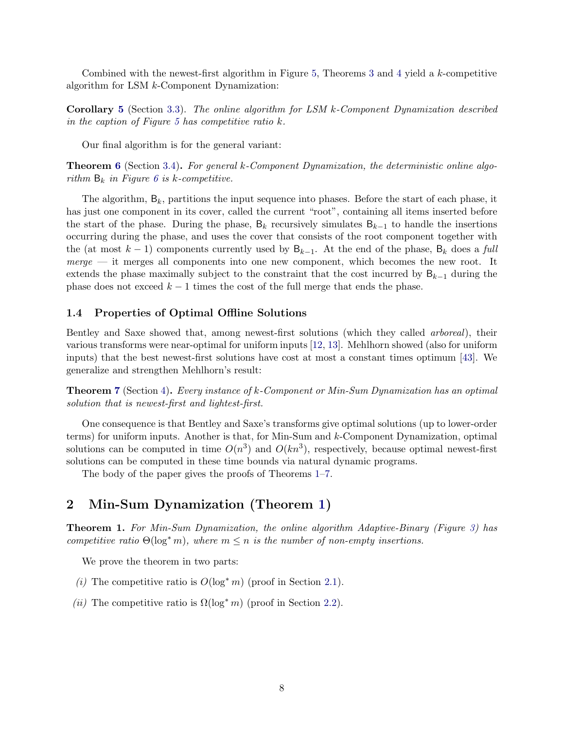Combined with the newest-first algorithm in Figure [5,](#page-5-4) Theorems [3](#page-15-0) and [4](#page-17-0) yield a k-competitive algorithm for LSM k-Component Dynamization:

Corollary [5](#page-18-0) (Section [3.3\)](#page-17-1). The online algorithm for LSM k-Component Dynamization described in the caption of Figure [5](#page-5-4) has competitive ratio  $k$ .

Our final algorithm is for the general variant:

Theorem [6](#page-18-1) (Section [3.4\)](#page-18-2). For general k-Component Dynamization, the deterministic online algorithm  $B_k$  in Figure [6](#page-6-0) is k-competitive.

The algorithm,  $B_k$ , partitions the input sequence into phases. Before the start of each phase, it has just one component in its cover, called the current "root", containing all items inserted before the start of the phase. During the phase,  $B_k$  recursively simulates  $B_{k-1}$  to handle the insertions occurring during the phase, and uses the cover that consists of the root component together with the (at most  $k-1$ ) components currently used by  $B_{k-1}$ . At the end of the phase,  $B_k$  does a full  $merge$  — it merges all components into one new component, which becomes the new root. It extends the phase maximally subject to the constraint that the cost incurred by  $B_{k-1}$  during the phase does not exceed  $k-1$  times the cost of the full merge that ends the phase.

### 1.4 Properties of Optimal Offline Solutions

Bentley and Saxe showed that, among newest-first solutions (which they called arboreal), their various transforms were near-optimal for uniform inputs [\[12,](#page-25-4) [13\]](#page-25-5). Mehlhorn showed (also for uniform inputs) that the best newest-first solutions have cost at most a constant times optimum [\[43\]](#page-27-11). We generalize and strengthen Mehlhorn's result:

Theorem [7](#page-20-0) (Section [4\)](#page-20-1). Every instance of k-Component or Min-Sum Dynamization has an optimal solution that is newest-first and lightest-first.

One consequence is that Bentley and Saxe's transforms give optimal solutions (up to lower-order terms) for uniform inputs. Another is that, for Min-Sum and k-Component Dynamization, optimal solutions can be computed in time  $O(n^3)$  and  $O(kn^3)$ , respectively, because optimal newest-first solutions can be computed in these time bounds via natural dynamic programs.

The body of the paper gives the proofs of Theorems [1](#page-7-0)[–7.](#page-20-0)

### <span id="page-7-1"></span>2 Min-Sum Dynamization (Theorem [1\)](#page-7-0)

<span id="page-7-0"></span>Theorem 1. For Min-Sum Dynamization, the online algorithm Adaptive-Binary (Figure [3\)](#page-3-0) has competitive ratio  $\Theta(\log^* m)$ , where  $m \leq n$  is the number of non-empty insertions.

We prove the theorem in two parts:

- (i) The competitive ratio is  $O(\log^* m)$  (proof in Section [2.1\)](#page-8-0).
- (ii) The competitive ratio is  $\Omega(\log^* m)$  (proof in Section [2.2\)](#page-11-0).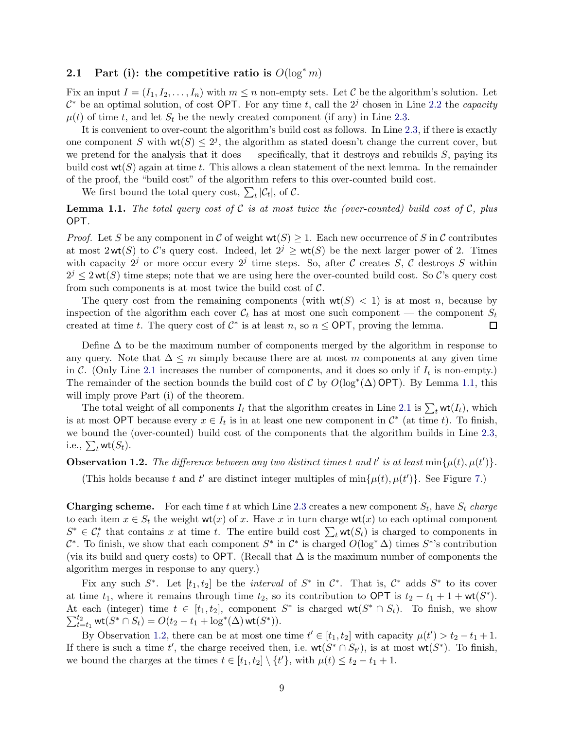### <span id="page-8-0"></span>2.1 Part (i): the competitive ratio is  $O(\log^* m)$

Fix an input  $I = (I_1, I_2, \ldots, I_n)$  with  $m \leq n$  non-empty sets. Let C be the algorithm's solution. Let  $\mathcal{C}^*$  be an optimal solution, of cost OPT. For any time t, call the  $2^j$  chosen in Line [2.2](#page-3-2) the *capacity*  $\mu(t)$  of time t, and let  $S_t$  be the newly created component (if any) in Line [2.3.](#page-3-3)

It is convenient to over-count the algorithm's build cost as follows. In Line [2.3,](#page-3-3) if there is exactly one component S with  $wt(S) \leq 2^j$ , the algorithm as stated doesn't change the current cover, but we pretend for the analysis that it does — specifically, that it destroys and rebuilds  $S$ , paying its build cost  $\text{wt}(S)$  again at time t. This allows a clean statement of the next lemma. In the remainder of the proof, the "build cost" of the algorithm refers to this over-counted build cost.

We first bound the total query cost,  $\sum_t |\mathcal{C}_t|$ , of  $\mathcal{C}$ .

<span id="page-8-1"></span>**Lemma 1.1.** The total query cost of C is at most twice the (over-counted) build cost of C, plus OPT.

*Proof.* Let S be any component in C of weight  $wt(S) \geq 1$ . Each new occurrence of S in C contributes at most 2wt(S) to C's query cost. Indeed, let  $2^j \geq \mathsf{wt}(S)$  be the next larger power of 2. Times with capacity  $2^j$  or more occur every  $2^j$  time steps. So, after C creates S, C destroys S within  $2^{j} \leq 2 \text{ wt}(S)$  time steps; note that we are using here the over-counted build cost. So C's query cost from such components is at most twice the build cost of  $C$ .

The query cost from the remaining components (with  $wt(S) < 1$ ) is at most n, because by inspection of the algorithm each cover  $C_t$  has at most one such component — the component  $S_t$  created at time t. The query cost of  $C^*$  is at least n, so  $n <$  OPT, proving the lemma. created at time t. The query cost of  $C^*$  is at least n, so  $n \leq \text{OPT}$ , proving the lemma.

Define  $\Delta$  to be the maximum number of components merged by the algorithm in response to any query. Note that  $\Delta \leq m$  simply because there are at most m components at any given time in C. (Only Line [2.1](#page-3-4) increases the number of components, and it does so only if  $I_t$  is non-empty.) The remainder of the section bounds the build cost of  $\mathcal C$  by  $O(log^*(\Delta) \textsf{OPT})$ . By Lemma [1.1,](#page-8-1) this will imply prove Part (i) of the theorem.

The total weight of all components  $I_t$  that the algorithm creates in Line [2.1](#page-3-4) is  $\sum_t \mathsf{wt}(I_t)$ , which is at most OPT because every  $x \in I_t$  is in at least one new component in  $\mathcal{C}^*$  (at time t). To finish, we bound the (over-counted) build cost of the components that the algorithm builds in Line [2.3,](#page-3-3) i.e.,  $\sum_t \mathsf{wt}(S_t)$ .

# <span id="page-8-2"></span>**Observation 1.2.** The difference between any two distinct times t and t' is at least  $min\{\mu(t), \mu(t')\}$ .

(This holds because t and t' are distinct integer multiples of  $\min\{\mu(t), \mu(t')\}$ . See Figure [7.](#page-9-0))

**Charging scheme.** For each time t at which Line [2.3](#page-3-3) creates a new component  $S_t$ , have  $S_t$  charge to each item  $x \in S_t$  the weight wt(x) of x. Have x in turn charge wt(x) to each optimal component  $S^* \in \mathcal{C}_t^*$  that contains x at time t. The entire build cost  $\sum_t \mathsf{wt}(S_t)$  is charged to components in  $\mathcal{C}^*$ . To finish, we show that each component  $S^*$  in  $\mathcal{C}^*$  is charged  $O(\log^* \Delta)$  times  $S^*$ 's contribution (via its build and query costs) to OPT. (Recall that  $\Delta$  is the maximum number of components the algorithm merges in response to any query.)

Fix any such  $S^*$ . Let  $[t_1, t_2]$  be the *interval* of  $S^*$  in  $\mathcal{C}^*$ . That is,  $\mathcal{C}^*$  adds  $S^*$  to its cover at time  $t_1$ , where it remains through time  $t_2$ , so its contribution to OPT is  $t_2 - t_1 + 1 + \text{wt}(S^*)$ . At each (integer) time  $t \in [t_1, t_2]$ , component  $S^*$  is charged  $\mathsf{wt}(S^* \cap S_t)$ . To finish, we show  $\sum_{t=1}^{t_2}$  $t_{t=t_1}^{t_2} \text{wt}(S^* \cap S_t) = O(t_2 - t_1 + \log^*(\Delta) \text{wt}(S^*)).$ 

By Observation [1.2,](#page-8-2) there can be at most one time  $t' \in [t_1, t_2]$  with capacity  $\mu(t') > t_2 - t_1 + 1$ . If there is such a time t', the charge received then, i.e.  $wt(S^* \cap S_{t'})$ , is at most  $wt(S^*)$ . To finish, we bound the charges at the times  $t \in [t_1, t_2] \setminus \{t'\}$ , with  $\mu(t) \leq t_2 - t_1 + 1$ .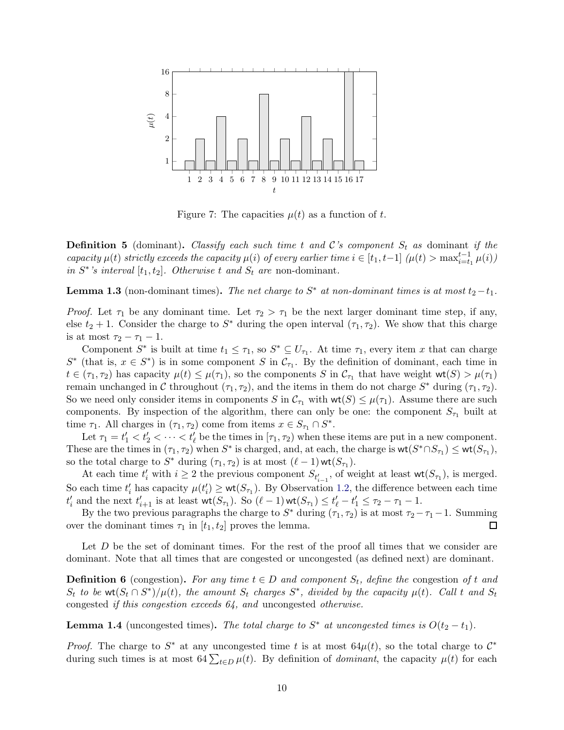

<span id="page-9-0"></span>Figure 7: The capacities  $\mu(t)$  as a function of t.

**Definition 5** (dominant). Classify each such time t and C's component  $S_t$  as dominant if the capacity  $\mu(t)$  strictly exceeds the capacity  $\mu(i)$  of every earlier time  $i \in [t_1, t-1]$   $(\mu(t) > \max_{i=t_1}^{t-1} \mu(i))$ in  $S^*$ 's interval  $[t_1, t_2]$ . Otherwise t and  $S_t$  are non-dominant.

<span id="page-9-1"></span>**Lemma 1.3** (non-dominant times). The net charge to  $S^*$  at non-dominant times is at most  $t_2-t_1$ .

*Proof.* Let  $\tau_1$  be any dominant time. Let  $\tau_2 > \tau_1$  be the next larger dominant time step, if any, else  $t_2 + 1$ . Consider the charge to  $S^*$  during the open interval  $(\tau_1, \tau_2)$ . We show that this charge is at most  $\tau_2 - \tau_1 - 1$ .

Component  $S^*$  is built at time  $t_1 \leq \tau_1$ , so  $S^* \subseteq U_{\tau_1}$ . At time  $\tau_1$ , every item x that can charge  $S^*$  (that is,  $x \in S^*$ ) is in some component S in  $\mathcal{C}_{\tau_1}$ . By the definition of dominant, each time in  $t \in (\tau_1, \tau_2)$  has capacity  $\mu(t) \leq \mu(\tau_1)$ , so the components S in  $C_{\tau_1}$  that have weight  $\text{wt}(S) > \mu(\tau_1)$ remain unchanged in C throughout  $(\tau_1, \tau_2)$ , and the items in them do not charge  $S^*$  during  $(\tau_1, \tau_2)$ . So we need only consider items in components S in  $\mathcal{C}_{\tau_1}$  with  $\mathsf{wt}(S) \leq \mu(\tau_1)$ . Assume there are such components. By inspection of the algorithm, there can only be one: the component  $S_{\tau_1}$  built at time  $\tau_1$ . All charges in  $(\tau_1, \tau_2)$  come from items  $x \in S_{\tau_1} \cap S^*$ .

Let  $\tau_1 = t'_1 < t'_2 < \cdots < t'_{\ell}$  be the times in  $[\tau_1, \tau_2)$  when these items are put in a new component. These are the times in  $(\tau_1, \tau_2)$  when  $S^*$  is charged, and, at each, the charge is  $\mathsf{wt}(S^* \cap S_{\tau_1}) \leq \mathsf{wt}(S_{\tau_1}),$ so the total charge to  $S^*$  during  $(\tau_1, \tau_2)$  is at most  $(\ell - 1)$  wt $(S_{\tau_1})$ .

At each time  $t'_i$  with  $i \geq 2$  the previous component  $S_{t'_{i-1}}$ , of weight at least  $\mathsf{wt}(S_{\tau_1})$ , is merged. So each time  $t'_i$  has capacity  $\mu(t'_i) \ge \text{wt}(S_{\tau_1})$ . By Observation [1.2,](#page-8-2) the difference between each time  $t'_{i}$  and the next  $t'_{i+1}$  is at least  $\textsf{wt}(S_{\tau_1})$ . So  $(\ell-1)\textsf{wt}(S_{\tau_1}) \leq t'_{\ell} - t'_{1} \leq \tau_2 - \tau_1 - 1$ .

By the two previous paragraphs the charge to  $S^*$  during  $(\tau_1, \tau_2)$  is at most  $\tau_2 - \tau_1 - 1$ . Summing over the dominant times  $\tau_1$  in  $[t_1, t_2]$  proves the lemma.

Let  $D$  be the set of dominant times. For the rest of the proof all times that we consider are dominant. Note that all times that are congested or uncongested (as defined next) are dominant.

**Definition 6** (congestion). For any time  $t \in D$  and component  $S_t$ , define the congestion of t and  $S_t$  to be  $\mathsf{wt}(S_t \cap S^*)/\mu(t)$ , the amount  $S_t$  charges  $S^*$ , divided by the capacity  $\mu(t)$ . Call t and  $S_t$ congested if this congestion exceeds 64, and uncongested otherwise.

**Lemma 1.4** (uncongested times). The total charge to  $S^*$  at uncongested times is  $O(t_2 - t_1)$ .

*Proof.* The charge to  $S^*$  at any uncongested time t is at most  $64\mu(t)$ , so the total charge to  $C^*$ during such times is at most  $64\sum_{t\in D}\mu(t)$ . By definition of *dominant*, the capacity  $\mu(t)$  for each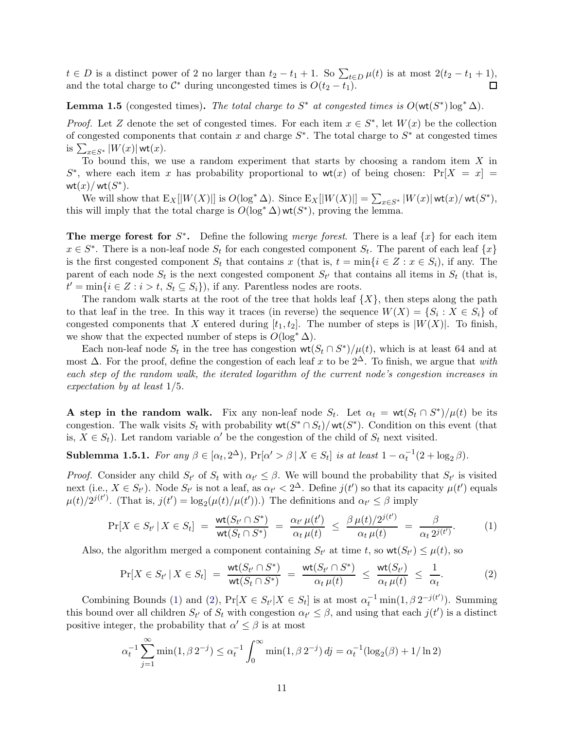$t \in D$  is a distinct power of 2 no larger than  $t_2 - t_1 + 1$ . So  $\sum_{t \in D} \mu(t)$  is at most  $2(t_2 - t_1 + 1)$ , and the total charge to  $\mathcal{C}^*$  during uncongested times is  $O(t_2 - t_1)$ .

<span id="page-10-3"></span>**Lemma 1.5** (congested times). The total charge to  $S^*$  at congested times is  $O(\text{wt}(S^*)\log^* \Delta)$ .

*Proof.* Let Z denote the set of congested times. For each item  $x \in S^*$ , let  $W(x)$  be the collection of congested components that contain x and charge  $S^*$ . The total charge to  $S^*$  at congested times is  $\sum_{x \in S^*} |W(x)| \text{wt}(x)$ .

To bound this, we use a random experiment that starts by choosing a random item  $X$  in  $S^*$ , where each item x has probability proportional to wt(x) of being chosen:  $Pr[X = x] =$  $\mathsf{wt}(x)/\mathsf{wt}(S^*)$ .

We will show that  $E_X[|W(X)|]$  is  $O(\log^* \Delta)$ . Since  $E_X[|W(X)|] = \sum_{x \in S^*} |W(x)| \text{wt}(x)/\text{wt}(S^*)$ , this will imply that the total charge is  $O(\log^* \Delta)$  wt $(S^*)$ , proving the lemma.

The merge forest for  $S^*$ . Define the following merge forest. There is a leaf  $\{x\}$  for each item  $x \in S^*$ . There is a non-leaf node  $S_t$  for each congested component  $S_t$ . The parent of each leaf  $\{x\}$ is the first congested component  $S_t$  that contains x (that is,  $t = \min\{i \in Z : x \in S_i\}$ , if any. The parent of each node  $S_t$  is the next congested component  $S_{t'}$  that contains all items in  $S_t$  (that is,  $t' = \min\{i \in \mathbb{Z} : i > t, S_t \subseteq S_i\}$ , if any. Parentless nodes are roots.

The random walk starts at the root of the tree that holds leaf  $\{X\}$ , then steps along the path to that leaf in the tree. In this way it traces (in reverse) the sequence  $W(X) = \{S_i : X \in S_i\}$  of congested components that X entered during  $[t_1, t_2]$ . The number of steps is  $|W(X)|$ . To finish, we show that the expected number of steps is  $O(\log^* \Delta)$ .

Each non-leaf node  $S_t$  in the tree has congestion  $\mathsf{wt}(S_t \cap S^*) / \mu(t)$ , which is at least 64 and at most  $\Delta$ . For the proof, define the congestion of each leaf x to be  $2^{\Delta}$ . To finish, we argue that with each step of the random walk, the iterated logarithm of the current node's congestion increases in expectation by at least 1/5.

**A** step in the random walk. Fix any non-leaf node  $S_t$ . Let  $\alpha_t = \text{wt}(S_t \cap S^*)/\mu(t)$  be its congestion. The walk visits  $S_t$  with probability  $\mathsf{wt}(S^* \cap S_t) / \mathsf{wt}(S^*)$ . Condition on this event (that is,  $X \in S_t$ ). Let random variable  $\alpha'$  be the congestion of the child of  $S_t$  next visited.

<span id="page-10-2"></span>**Sublemma 1.5.1.** For any  $\beta \in [\alpha_t, 2^{\Delta})$ ,  $Pr[\alpha' > \beta | X \in S_t]$  is at least  $1 - \alpha_t^{-1}(2 + \log_2 \beta)$ .

*Proof.* Consider any child  $S_{t'}$  of  $S_t$  with  $\alpha_{t'} \leq \beta$ . We will bound the probability that  $S_{t'}$  is visited next (i.e.,  $X \in S_{t'}$ ). Node  $S_{t'}$  is not a leaf, as  $\alpha_{t'} < 2^{\Delta}$ . Define  $j(t')$  so that its capacity  $\mu(t')$  equals  $\mu(t)/2^{j(t')}$ . (That is,  $j(t') = \log_2(\mu(t)/\mu(t'))$ .) The definitions and  $\alpha_{t'} \leq \beta$  imply

$$
\Pr[X \in S_{t'} \mid X \in S_t] = \frac{\mathsf{wt}(S_{t'} \cap S^*)}{\mathsf{wt}(S_t \cap S^*)} = \frac{\alpha_{t'} \mu(t')}{\alpha_t \mu(t)} \leq \frac{\beta \mu(t)/2^{j(t')}}{\alpha_t \mu(t)} = \frac{\beta}{\alpha_t 2^{j(t')}}.
$$
 (1)

Also, the algorithm merged a component containing  $S_{t'}$  at time t, so  $\text{wt}(S_{t'}) \leq \mu(t)$ , so

<span id="page-10-1"></span><span id="page-10-0"></span>
$$
\Pr[X \in S_{t'} \mid X \in S_t] = \frac{\text{wt}(S_{t'} \cap S^*)}{\text{wt}(S_t \cap S^*)} = \frac{\text{wt}(S_{t'} \cap S^*)}{\alpha_t \mu(t)} \leq \frac{\text{wt}(S_{t'})}{\alpha_t \mu(t)} \leq \frac{1}{\alpha_t}.
$$
 (2)

Combining Bounds [\(1\)](#page-10-0) and [\(2\)](#page-10-1),  $Pr[X \in S_t | X \in S_t]$  is at most  $\alpha_t^{-1} \min(1, \beta 2^{-j(t)})$ . Summing this bound over all children  $S_{t'}$  of  $S_t$  with congestion  $\alpha_{t'} \leq \beta$ , and using that each  $j(t')$  is a distinct positive integer, the probability that  $\alpha' \leq \beta$  is at most

$$
\alpha_t^{-1} \sum_{j=1}^{\infty} \min(1, \beta \, 2^{-j}) \le \alpha_t^{-1} \int_0^{\infty} \min(1, \beta \, 2^{-j}) \, dj = \alpha_t^{-1} (\log_2(\beta) + 1/\ln 2)
$$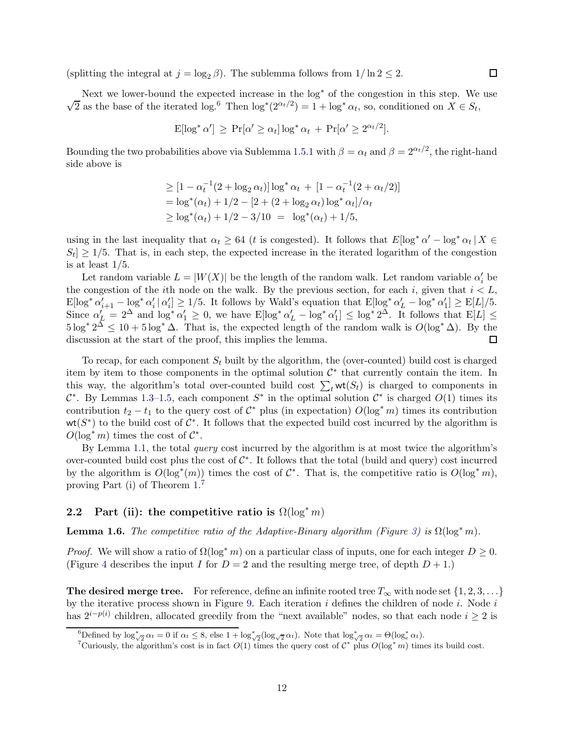(splitting the integral at  $j = \log_2 \beta$ ). The sublemma follows from  $1/\ln 2 \leq 2$ .

Next we lower-bound the expected increase in the  $log^*$  of the congestion in this step. We use  $\sqrt{2}$  as the base of the iterated log.<sup>[6](#page-11-1)</sup> Then log<sup>\*</sup>( $2^{\alpha_t/2}$ ) = 1 + log<sup>\*</sup>  $\alpha_t$ , so, conditioned on  $X \in S_t$ ,

$$
\mathrm{E}[\log^* \alpha'] \ge \Pr[\alpha' \ge \alpha_t] \log^* \alpha_t + \Pr[\alpha' \ge 2^{\alpha_t/2}].
$$

Bounding the two probabilities above via Sublemma [1.5.1](#page-10-2) with  $\beta = \alpha_t$  and  $\beta = 2^{\alpha_t/2}$ , the right-hand side above is

$$
\geq [1 - \alpha_t^{-1}(2 + \log_2 \alpha_t)] \log^* \alpha_t + [1 - \alpha_t^{-1}(2 + \alpha_t/2)]
$$
  
=  $\log^*(\alpha_t) + 1/2 - [2 + (2 + \log_2 \alpha_t) \log^* \alpha_t]/\alpha_t$   

$$
\geq \log^*(\alpha_t) + 1/2 - 3/10 = \log^*(\alpha_t) + 1/5,
$$

using in the last inequality that  $\alpha_t \geq 64$  (*t* is congested). It follows that  $E[\log^* \alpha' - \log^* \alpha_t | X \in$  $S_t$   $\geq$  1/5. That is, in each step, the expected increase in the iterated logarithm of the congestion is at least 1/5.

Let random variable  $L = |W(X)|$  be the length of the random walk. Let random variable  $\alpha'_i$  be the congestion of the *i*th node on the walk. By the previous section, for each i, given that  $i < L$ ,  $\mathbb{E}[\log^* \alpha'_{i+1} - \log^* \alpha'_{i}] \geq 1/5$ . It follows by Wald's equation that  $\mathbb{E}[\log^* \alpha'_{L} - \log^* \alpha'_{1}] \geq \mathbb{E}[L]/5$ . Since  $\alpha'_{\underline{L}} = 2^{\Delta}$  and  $\log^* \alpha'_1 \geq 0$ , we have  $E[\log^* \alpha'_{\underline{L}} - \log^* \alpha'_1] \leq \log^* 2^{\Delta}$ . It follows that  $E[L] \leq$  $5 \log^* 2^{\overline{\Delta}} \leq 10 + 5 \log^* \Delta$ . That is, the expected length of the random walk is  $O(\log^* \Delta)$ . By the discussion at the start of the proof, this implies the lemma.

To recap, for each component  $S_t$  built by the algorithm, the (over-counted) build cost is charged item by item to those components in the optimal solution  $\mathcal{C}^*$  that currently contain the item. In this way, the algorithm's total over-counted build cost  $\sum_t \mathsf{wt}(S_t)$  is charged to components in  $\mathcal{C}^*$ . By Lemmas [1.3–](#page-9-1)[1.5,](#page-10-3) each component  $S^*$  in the optimal solution  $\mathcal{C}^*$  is charged  $O(1)$  times its contribution  $t_2 - t_1$  to the query cost of  $C^*$  plus (in expectation)  $O(\log^* m)$  times its contribution  $wt(S^*)$  to the build cost of  $C^*$ . It follows that the expected build cost incurred by the algorithm is  $O(\log^* m)$  times the cost of  $\mathcal{C}^*$ .

By Lemma [1.1,](#page-8-1) the total *query* cost incurred by the algorithm is at most twice the algorithm's over-counted build cost plus the cost of  $\mathcal{C}^*$ . It follows that the total (build and query) cost incurred by the algorithm is  $O(\log^*(m))$  times the cost of  $\mathcal{C}^*$ . That is, the competitive ratio is  $O(\log^* m)$ , proving Part (i) of Theorem [1.](#page-7-0) [7](#page-11-2)

### <span id="page-11-0"></span>2.2 Part (ii): the competitive ratio is  $\Omega(\log^* m)$

<span id="page-11-3"></span>**Lemma 1.6.** The competitive ratio of the Adaptive-Binary algorithm (Figure [3\)](#page-3-0) is  $\Omega(\log^* m)$ .

*Proof.* We will show a ratio of  $\Omega(\log^* m)$  on a particular class of inputs, one for each integer  $D \geq 0$ . (Figure [4](#page-3-1) describes the input I for  $D = 2$  and the resulting merge tree, of depth  $D + 1$ .)

**The desired merge tree.** For reference, define an infinite rooted tree  $T_{\infty}$  with node set  $\{1, 2, 3, \ldots\}$ by the iterative process shown in Figure [9.](#page-12-0) Each iteration  $i$  defines the children of node  $i$ . Node  $i$ has  $2^{i-p(i)}$  children, allocated greedily from the "next available" nodes, so that each node  $i \geq 2$  is

<sup>&</sup>lt;sup>6</sup>Defined by  $\log_{\sqrt{2}}^* \alpha_t = 0$  if  $\alpha_t \leq 8$ , else  $1 + \log_{\sqrt{2}}^* (\log_{\sqrt{2}} \alpha_t)$ . Note that  $\log_{\sqrt{2}}^* \alpha_t = \Theta(\log_e^* \alpha_t)$ .

<span id="page-11-2"></span><span id="page-11-1"></span><sup>&</sup>lt;sup>7</sup>Curiously, the algorithm's cost is in fact  $O(1)$  times the query cost of  $C^*$  plus  $O(\log^* m)$  times its build cost.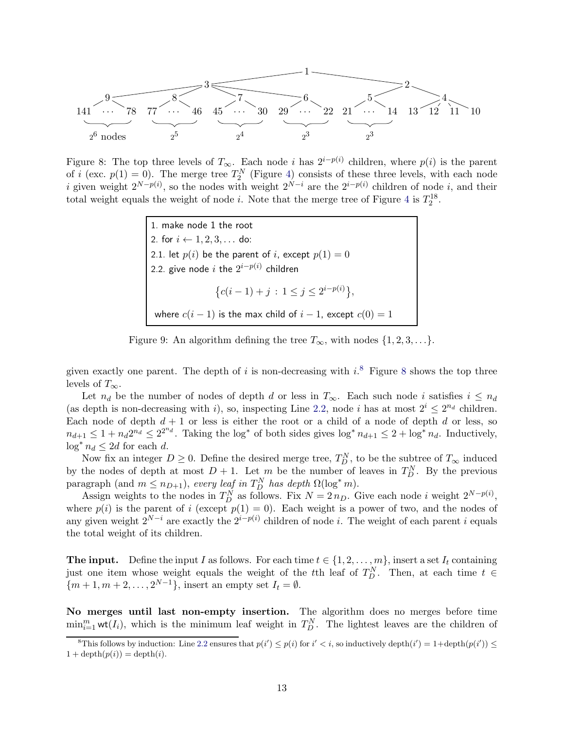1 3 9 141 · · · 78 8 77 · · · 46 7 45 · · · 30 6 29 · · · 22 2 5 21 · · · 14 4 13 12 11 10 2 3 2 3 2 4 2 5 2 <sup>6</sup> nodes

<span id="page-12-2"></span>Figure 8: The top three levels of  $T_{\infty}$ . Each node i has  $2^{i-p(i)}$  children, where  $p(i)$  is the parent of i (exc.  $p(1) = 0$ ). The merge tree  $T_2^N$  (Figure [4\)](#page-3-1) consists of these three levels, with each node *i* given weight  $2^{N-p(i)}$ , so the nodes with weight  $2^{N-i}$  are the  $2^{i-p(i)}$  children of node *i*, and their total weight equals the weight of node *i*. Note that the merge tree of Figure [4](#page-3-1) is  $T_2^{18}$ .

<span id="page-12-3"></span>1. make node 1 the root 2. for  $i \leftarrow 1, 2, 3, \ldots$  do: 2.1. let  $p(i)$  be the parent of i, except  $p(1) = 0$ 2.2. give node  $i$  the  $2^{i-p(i)}$  children  $\{c(i-1)+j : 1 \leq j \leq 2^{i-p(i)}\},\$ where  $c(i - 1)$  is the max child of  $i - 1$ , except  $c(0) = 1$ 

<span id="page-12-0"></span>Figure 9: An algorithm defining the tree  $T_{\infty}$ , with nodes  $\{1, 2, 3, \ldots\}$ .

given exactly one parent. The depth of i is non-decreasing with  $i$ <sup>[8](#page-12-2)</sup>. Figure 8 shows the top three levels of  $T_{\infty}$ .

Let  $n_d$  be the number of nodes of depth d or less in  $T_\infty$ . Each such node i satisfies  $i \leq n_d$ (as depth is non-decreasing with i), so, inspecting Line [2.2,](#page-12-3) node i has at most  $2^i \leq 2^{n_d}$  children. Each node of depth  $d + 1$  or less is either the root or a child of a node of depth d or less, so  $n_{d+1} \leq 1 + n_d 2^{n_d} \leq 2^{2^{n_d}}$ . Taking the log<sup>\*</sup> of both sides gives log<sup>\*</sup>  $n_{d+1} \leq 2 + \log^* n_d$ . Inductively,  $\log^* n_d \leq 2d$  for each d.

Now fix an integer  $D \geq 0$ . Define the desired merge tree,  $T_D^N$ , to be the subtree of  $T_\infty$  induced by the nodes of depth at most  $D + 1$ . Let m be the number of leaves in  $T_D^N$ . By the previous paragraph (and  $m \leq n_{D+1}$ ), every leaf in  $T_D^N$  has depth  $\Omega(\log^* m)$ .

Assign weights to the nodes in  $T_D^N$  as follows. Fix  $N = 2 n_D$ . Give each node i weight  $2^{N-p(i)}$ , where  $p(i)$  is the parent of i (except  $p(1) = 0$ ). Each weight is a power of two, and the nodes of any given weight  $2^{N-i}$  are exactly the  $2^{i-p(i)}$  children of node i. The weight of each parent i equals the total weight of its children.

**The input.** Define the input I as follows. For each time  $t \in \{1, 2, ..., m\}$ , insert a set  $I_t$  containing just one item whose weight equals the weight of the tth leaf of  $T_D^N$ . Then, at each time  $t \in$  ${m+1, m+2, \ldots, 2^{N-1}}$ , insert an empty set  $I_t = \emptyset$ .

No merges until last non-empty insertion. The algorithm does no merges before time  $\min_{i=1}^m \text{wt}(I_i)$ , which is the minimum leaf weight in  $T_D^N$ . The lightest leaves are the children of

<span id="page-12-1"></span><sup>&</sup>lt;sup>8</sup>This follows by induction: Line [2.2](#page-12-3) ensures that  $p(i') \leq p(i)$  for  $i' < i$ , so inductively depth $(i') = 1 + \text{depth}(p(i')) \leq$  $1 + \operatorname{depth}(p(i)) = \operatorname{depth}(i).$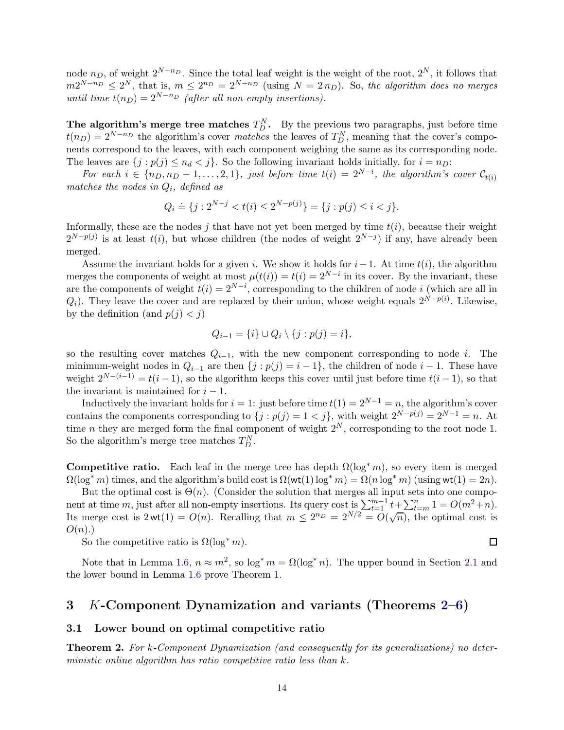node  $n_D$ , of weight  $2^{N-n_D}$ . Since the total leaf weight is the weight of the root,  $2^N$ , it follows that  $m2^{N-n_D} \leq 2^N$ , that is,  $m \leq 2^{n_D} = 2^{N-n_D}$  (using  $N = 2n_D$ ). So, the algorithm does no merges until time  $t(n_D) = 2^{N-n_D}$  (after all non-empty insertions).

The algorithm's merge tree matches  $T_D^N$ . By the previous two paragraphs, just before time  $t(n_D) = 2^{N-n_D}$  the algorithm's cover *matches* the leaves of  $T_D^N$ , meaning that the cover's components correspond to the leaves, with each component weighing the same as its corresponding node. The leaves are  $\{j : p(j) \leq n_d < j\}$ . So the following invariant holds initially, for  $i = n_D$ :

For each  $i \in \{n_D, n_D-1, \ldots, 2, 1\}$ , just before time  $t(i) = 2^{N-i}$ , the algorithm's cover  $\mathcal{C}_{t(i)}$ matches the nodes in  $Q_i$ , defined as

$$
Q_i \doteq \{j: 2^{N-j} < t(i) \le 2^{N-p(j)}\} = \{j: p(j) \le i < j\}.
$$

Informally, these are the nodes j that have not yet been merged by time  $t(i)$ , because their weight  $2^{N-p(j)}$  is at least  $t(i)$ , but whose children (the nodes of weight  $2^{N-j}$ ) if any, have already been merged.

Assume the invariant holds for a given i. We show it holds for  $i-1$ . At time  $t(i)$ , the algorithm merges the components of weight at most  $\mu(t(i)) = t(i) = 2^{N-i}$  in its cover. By the invariant, these are the components of weight  $t(i) = 2^{N-i}$ , corresponding to the children of node i (which are all in  $Q_i$ ). They leave the cover and are replaced by their union, whose weight equals  $2^{N-p(i)}$ . Likewise, by the definition (and  $p(j) < j$ )

$$
Q_{i-1} = \{i\} \cup Q_i \setminus \{j : p(j) = i\},\
$$

so the resulting cover matches  $Q_{i-1}$ , with the new component corresponding to node i. The minimum-weight nodes in  $Q_{i-1}$  are then  $\{j : p(j) = i - 1\}$ , the children of node  $i - 1$ . These have weight  $2^{N-(i-1)} = t(i-1)$ , so the algorithm keeps this cover until just before time  $t(i-1)$ , so that the invariant is maintained for  $i - 1$ .

Inductively the invariant holds for  $i = 1$ : just before time  $t(1) = 2^{N-1} = n$ , the algorithm's cover contains the components corresponding to  $\{j : p(j) = 1 \lt j\}$ , with weight  $2^{N-p(j)} = 2^{N-1} = n$ . At time *n* they are merged form the final component of weight  $2^N$ , corresponding to the root node 1. So the algorithm's merge tree matches  $T_D^N$ .

**Competitive ratio.** Each leaf in the merge tree has depth  $\Omega(\log^* m)$ , so every item is merged  $\Omega(\log^* m)$  times, and the algorithm's build cost is  $\Omega(\text{wt}(1) \log^* m) = \Omega(n \log^* m)$  (using  $\text{wt}(1) = 2n$ ).

But the optimal cost is  $\Theta(n)$ . (Consider the solution that merges all input sets into one component at time m, just after all non-empty insertions. Its query cost is  $\sum_{t=1}^{m-1} t + \sum_{t=m}^{n} 1 = O(m^2 + n)$ . Its merge cost is  $2wt(1) = O(n)$ . Recalling that  $m \leq 2^{n_D} = 2^{N/2} = O(\sqrt{n})$ , the optimal cost is  $O(n)$ .

So the competitive ratio is  $\Omega(\log^* m)$ .

Note that in Lemma [1.6,](#page-11-3)  $n \approx m^2$ , so  $\log^* m = \Omega(\log^* n)$ . The upper bound in Section [2.1](#page-8-0) and the lower bound in Lemma [1.6](#page-11-3) prove Theorem [1.](#page-7-0)

 $\Box$ 

## 3 K-Component Dynamization and variants (Theorems [2–](#page-13-0)[6\)](#page-18-1)

### <span id="page-13-1"></span>3.1 Lower bound on optimal competitive ratio

<span id="page-13-0"></span>Theorem 2. For k-Component Dynamization (and consequently for its generalizations) no deterministic online algorithm has ratio competitive ratio less than k.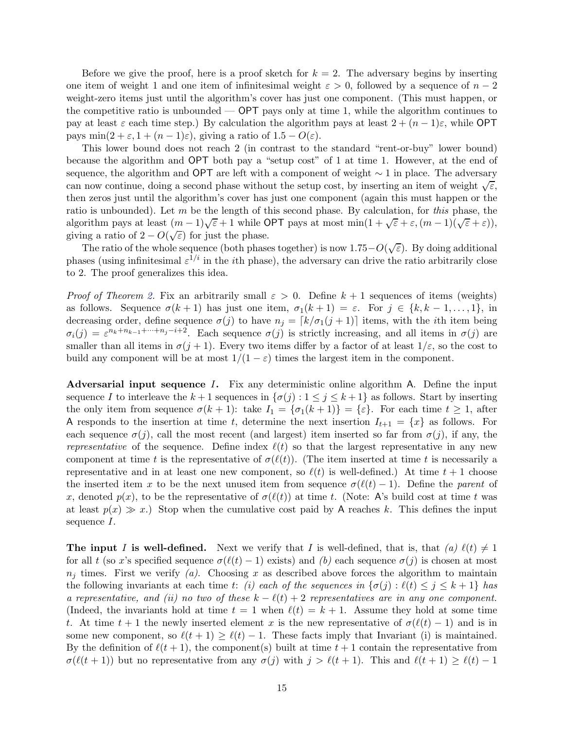Before we give the proof, here is a proof sketch for  $k = 2$ . The adversary begins by inserting one item of weight 1 and one item of infinitesimal weight  $\varepsilon > 0$ , followed by a sequence of  $n-2$ weight-zero items just until the algorithm's cover has just one component. (This must happen, or the competitive ratio is unbounded  $-$  OPT pays only at time 1, while the algorithm continues to pay at least  $\varepsilon$  each time step.) By calculation the algorithm pays at least  $2 + (n-1)\varepsilon$ , while OPT pays min $(2 + \varepsilon, 1 + (n-1)\varepsilon)$ , giving a ratio of  $1.5 - O(\varepsilon)$ .

This lower bound does not reach 2 (in contrast to the standard "rent-or-buy" lower bound) because the algorithm and OPT both pay a "setup cost" of 1 at time 1. However, at the end of sequence, the algorithm and OPT are left with a component of weight  $\sim 1$  in place. The adversary can now continue, doing a second phase without the setup cost, by inserting an item of weight  $\sqrt{\varepsilon}$ , then zeros just until the algorithm's cover has just one component (again this must happen or the ratio is unbounded). Let m be the length of this second phase. By calculation, for this phase, the algorithm pays at least  $(m-1)\sqrt{\varepsilon}+1$  while OPT pays at most  $\min(1+\sqrt{\varepsilon}+\varepsilon,(m-1)\sqrt{\varepsilon}+\varepsilon)$ ), giving a ratio of  $2 - O(\sqrt{\varepsilon})$  for just the phase.

The ratio of the whole sequence (both phases together) is now 1.75− $O(\sqrt{\varepsilon})$ . By doing additional phases (using infinitesimal  $\varepsilon^{1/i}$  in the *i*th phase), the adversary can drive the ratio arbitrarily close to 2. The proof generalizes this idea.

*Proof of Theorem [2.](#page-13-0)* Fix an arbitrarily small  $\varepsilon > 0$ . Define  $k + 1$  sequences of items (weights) as follows. Sequence  $\sigma(k+1)$  has just one item,  $\sigma_1(k+1) = \varepsilon$ . For  $j \in \{k, k-1, \ldots, 1\}$ , in decreasing order, define sequence  $\sigma(j)$  to have  $n_j = [k/\sigma_1(j+1)]$  items, with the *i*th item being  $\sigma_i(j) = \varepsilon^{n_k+n_{k-1}+\cdots+n_j-i+2}$ . Each sequence  $\sigma(j)$  is strictly increasing, and all items in  $\sigma(j)$  are smaller than all items in  $\sigma(j+1)$ . Every two items differ by a factor of at least  $1/\varepsilon$ , so the cost to build any component will be at most  $1/(1 - \varepsilon)$  times the largest item in the component.

Adversarial input sequence I. Fix any deterministic online algorithm A. Define the input sequence I to interleave the  $k+1$  sequences in  $\{\sigma(j): 1 \leq j \leq k+1\}$  as follows. Start by inserting the only item from sequence  $\sigma(k+1)$ : take  $I_1 = {\sigma_1(k+1)} = {\varepsilon}.$  For each time  $t \geq 1$ , after A responds to the insertion at time t, determine the next insertion  $I_{t+1} = \{x\}$  as follows. For each sequence  $\sigma(j)$ , call the most recent (and largest) item inserted so far from  $\sigma(j)$ , if any, the representative of the sequence. Define index  $\ell(t)$  so that the largest representative in any new component at time t is the representative of  $\sigma(\ell(t))$ . (The item inserted at time t is necessarily a representative and in at least one new component, so  $\ell(t)$  is well-defined.) At time  $t+1$  choose the inserted item x to be the next unused item from sequence  $\sigma(\ell(t)-1)$ . Define the parent of x, denoted  $p(x)$ , to be the representative of  $\sigma(\ell(t))$  at time t. (Note: A's build cost at time t was at least  $p(x) \gg x$ .) Stop when the cumulative cost paid by A reaches k. This defines the input sequence I.

**The input I is well-defined.** Next we verify that I is well-defined, that is, that  $(a) \ell(t) \neq 1$ for all t (so x's specified sequence  $\sigma(\ell(t)-1)$  exists) and (b) each sequence  $\sigma(j)$  is chosen at most  $n_j$  times. First we verify (a). Choosing x as described above forces the algorithm to maintain the following invariants at each time t: (i) each of the sequences in  $\{\sigma(j): \ell(t) \leq j \leq k+1\}$  has a representative, and (ii) no two of these  $k - \ell(t) + 2$  representatives are in any one component. (Indeed, the invariants hold at time  $t = 1$  when  $\ell(t) = k + 1$ . Assume they hold at some time t. At time  $t + 1$  the newly inserted element x is the new representative of  $\sigma(\ell(t) - 1)$  and is in some new component, so  $\ell(t+1) \geq \ell(t) - 1$ . These facts imply that Invariant (i) is maintained. By the definition of  $\ell(t+1)$ , the components built at time  $t+1$  contain the representative from  $\sigma(\ell(t+1))$  but no representative from any  $\sigma(j)$  with  $j > \ell(t+1)$ . This and  $\ell(t+1) \geq \ell(t) - 1$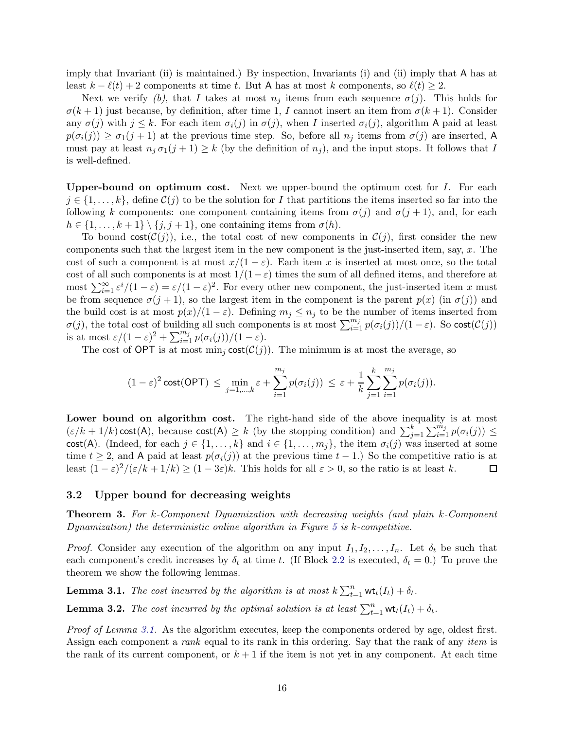imply that Invariant (ii) is maintained.) By inspection, Invariants (i) and (ii) imply that A has at least  $k - \ell(t) + 2$  components at time t. But A has at most k components, so  $\ell(t) \geq 2$ .

Next we verify (b), that I takes at most  $n_j$  items from each sequence  $\sigma(j)$ . This holds for  $\sigma(k+1)$  just because, by definition, after time 1, I cannot insert an item from  $\sigma(k+1)$ . Consider any  $\sigma(j)$  with  $j \leq k$ . For each item  $\sigma_i(j)$  in  $\sigma(j)$ , when I inserted  $\sigma_i(j)$ , algorithm A paid at least  $p(\sigma_i(j)) \geq \sigma_1(j+1)$  at the previous time step. So, before all  $n_j$  items from  $\sigma(j)$  are inserted, A must pay at least  $n_j \sigma_1(j+1) \geq k$  (by the definition of  $n_j$ ), and the input stops. It follows that I is well-defined.

**Upper-bound on optimum cost.** Next we upper-bound the optimum cost for  $I$ . For each  $j \in \{1, \ldots, k\}$ , define  $\mathcal{C}(j)$  to be the solution for I that partitions the items inserted so far into the following k components: one component containing items from  $\sigma(j)$  and  $\sigma(j+1)$ , and, for each  $h \in \{1, \ldots, k+1\} \setminus \{j, j+1\}$ , one containing items from  $\sigma(h)$ .

To bound  $\text{cost}(\mathcal{C}(j))$ , i.e., the total cost of new components in  $\mathcal{C}(j)$ , first consider the new components such that the largest item in the new component is the just-inserted item, say,  $x$ . The cost of such a component is at most  $x/(1-\varepsilon)$ . Each item x is inserted at most once, so the total cost of all such components is at most  $1/(1-\varepsilon)$  times the sum of all defined items, and therefore at most  $\sum_{i=1}^{\infty} \varepsilon^i/(1-\varepsilon) = \varepsilon/(1-\varepsilon)^2$ . For every other new component, the just-inserted item x must be from sequence  $\sigma(j+1)$ , so the largest item in the component is the parent  $p(x)$  (in  $\sigma(j)$ ) and the build cost is at most  $p(x)/(1 - \varepsilon)$ . Defining  $m_j \leq n_j$  to be the number of items inserted from  $\sigma(j)$ , the total cost of building all such components is at most  $\sum_{i=1}^{m_j} p(\sigma_i(j))/(1-\varepsilon)$ . So cost $(\mathcal{C}(j))$ is at most  $\varepsilon/(1-\varepsilon)^2 + \sum_{i=1}^{m_j} p(\sigma_i(j))/(1-\varepsilon).$ 

The cost of OPT is at most  $\min_j \text{cost}(\mathcal{C}(j))$ . The minimum is at most the average, so

$$
(1-\varepsilon)^2 \cot(\mathsf{OPT}) \leq \min_{j=1,\dots,k} \varepsilon + \sum_{i=1}^{m_j} p(\sigma_i(j)) \leq \varepsilon + \frac{1}{k} \sum_{j=1}^k \sum_{i=1}^{m_j} p(\sigma_i(j)).
$$

Lower bound on algorithm cost. The right-hand side of the above inequality is at most  $(\varepsilon/k + 1/k) \text{cost}(A)$ , because  $\text{cost}(A) \geq k$  (by the stopping condition) and  $\sum_{j=1}^{k} \sum_{i=1}^{m_j} p(\sigma_i(j)) \leq$ cost(A). (Indeed, for each  $j \in \{1, ..., k\}$  and  $i \in \{1, ..., m_j\}$ , the item  $\sigma_i(j)$  was inserted at some time  $t \geq 2$ , and A paid at least  $p(\sigma_i(j))$  at the previous time  $t-1$ .) So the competitive ratio is at least  $(1 - \varepsilon)^2/(\varepsilon/k + 1/k) \ge (1 - 3\varepsilon)k$ . This holds for all  $\varepsilon > 0$ , so the ratio is at least k. □

#### <span id="page-15-1"></span>3.2 Upper bound for decreasing weights

<span id="page-15-0"></span>Theorem 3. For k-Component Dynamization with decreasing weights (and plain k-Component Dynamization) the deterministic online algorithm in Figure  $5$  is  $k$ -competitive.

*Proof.* Consider any execution of the algorithm on any input  $I_1, I_2, \ldots, I_n$ . Let  $\delta_t$  be such that each component's credit increases by  $\delta_t$  at time t. (If Block [2.2](#page-5-5) is executed,  $\delta_t = 0$ .) To prove the theorem we show the following lemmas.

<span id="page-15-2"></span>**Lemma 3.1.** The cost incurred by the algorithm is at most  $k \sum_{t=1}^{n} \mathsf{wt}_t(I_t) + \delta_t$ .

<span id="page-15-3"></span>**Lemma 3.2.** The cost incurred by the optimal solution is at least  $\sum_{t=1}^{n} \mathsf{wt}_t(I_t) + \delta_t$ .

Proof of Lemma [3.1.](#page-15-2) As the algorithm executes, keep the components ordered by age, oldest first. Assign each component a *rank* equal to its rank in this ordering. Say that the rank of any *item* is the rank of its current component, or  $k + 1$  if the item is not yet in any component. At each time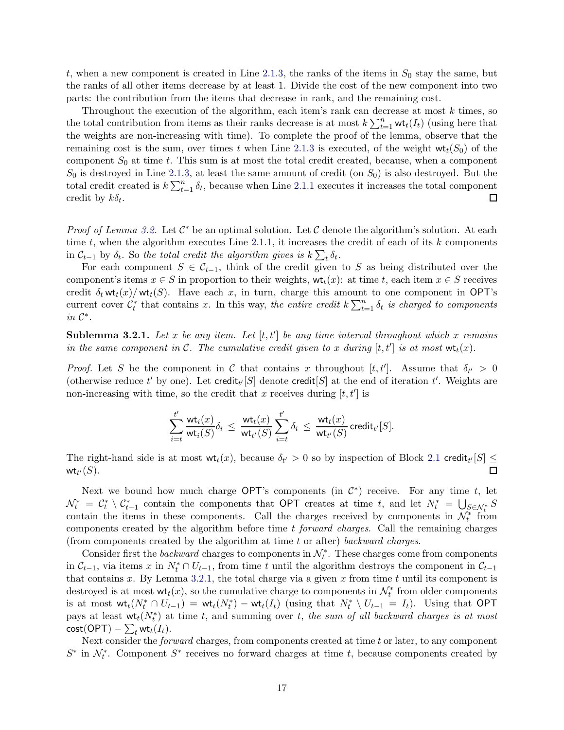t, when a new component is created in Line [2.1.3,](#page-5-0) the ranks of the items in  $S_0$  stay the same, but the ranks of all other items decrease by at least 1. Divide the cost of the new component into two parts: the contribution from the items that decrease in rank, and the remaining cost.

Throughout the execution of the algorithm, each item's rank can decrease at most  $k$  times, so the total contribution from items as their ranks decrease is at most  $k \sum_{t=1}^{n} \mathsf{wt}_t(I_t)$  (using here that the weights are non-increasing with time). To complete the proof of the lemma, observe that the remaining cost is the sum, over times t when Line [2.1.3](#page-5-0) is executed, of the weight  $wt_t(S_0)$  of the component  $S_0$  at time t. This sum is at most the total credit created, because, when a component  $S_0$  is destroyed in Line [2.1.3,](#page-5-0) at least the same amount of credit (on  $S_0$ ) is also destroyed. But the total credit created is  $k \sum_{t=1}^{n} \delta_t$ , because when Line [2.1.1](#page-5-6) executes it increases the total component credit by  $k\delta_t$ .  $\Box$ 

*Proof of Lemma [3.2.](#page-15-3)* Let  $C^*$  be an optimal solution. Let C denote the algorithm's solution. At each time t, when the algorithm executes Line  $2.1.1$ , it increases the credit of each of its k components in  $\mathcal{C}_{t-1}$  by  $\delta_t$ . So the total credit the algorithm gives is  $k \sum_t \delta_t$ .

For each component  $S \in C_{t-1}$ , think of the credit given to S as being distributed over the component's items  $x \in S$  in proportion to their weights,  $\mathsf{wt}_t(x)$ : at time t, each item  $x \in S$  receives credit  $\delta_t$  wt<sub>t</sub>(x)/wt<sub>t</sub>(S). Have each x, in turn, charge this amount to one component in OPT's current cover  $\mathcal{C}_t^*$  that contains x. In this way, the entire credit  $k \sum_{t=1}^n \delta_t$  is charged to components in  $\mathcal{C}^*$ .

<span id="page-16-0"></span>**Sublemma 3.2.1.** Let x be any item. Let  $[t, t']$  be any time interval throughout which x remains in the same component in C. The cumulative credit given to x during  $[t, t']$  is at most  $\mathsf{wt}_t(x)$ .

*Proof.* Let S be the component in C that contains x throughout  $[t, t']$ . Assume that  $\delta_{t'} > 0$ (otherwise reduce t' by one). Let credit<sub>t'</sub> [S] denote credit [S] at the end of iteration t'. Weights are non-increasing with time, so the credit that x receives during  $[t, t']$  is

$$
\sum_{i=t}^{t'} \frac{{\rm wt}_i(x)}{{\rm wt}_i(S)} \delta_i \, \leq \, \frac{{\rm wt}_t(x)}{{\rm wt}_{t'}(S)} \sum_{i=t}^{t'} \delta_i \, \leq \, \frac{{\rm wt}_t(x)}{{\rm wt}_{t'}(S)} \, {\rm credit}_{t'}[S].
$$

The right-hand side is at most  $wt_t(x)$ , because  $\delta_{t'} > 0$  so by inspection of Block [2.1](#page-5-7) credit<sub> $t'[S] \leq$ </sub> wt $_{t'}(S).$ 

Next we bound how much charge OPT's components (in  $\mathcal{C}^*$ ) receive. For any time t, let  $\mathcal{N}_t^* = \mathcal{C}_t^* \setminus \mathcal{C}_{t-1}^*$  contain the components that OPT creates at time t, and let  $N_t^* = \bigcup_{S \in \mathcal{N}_t^*} S$ contain the items in these components. Call the charges received by components in  $\mathcal{N}_t^*$  from components created by the algorithm before time  $t$  forward charges. Call the remaining charges (from components created by the algorithm at time t or after) backward charges.

Consider first the *backward* charges to components in  $\mathcal{N}_t^*$ . These charges come from components in  $\mathcal{C}_{t-1}$ , via items x in  $N_t^* \cap U_{t-1}$ , from time t until the algorithm destroys the component in  $\mathcal{C}_{t-1}$ that contains x. By Lemma [3.2.1,](#page-16-0) the total charge via a given x from time t until its component is destroyed is at most  $\mathsf{wt}_t(x)$ , so the cumulative charge to components in  $\mathcal{N}_t^*$  from older components is at most  $\operatorname{wt}_t(N_t^* \cap U_{t-1}) = \operatorname{wt}_t(N_t^*) - \operatorname{wt}_t(I_t)$  (using that  $N_t^* \setminus U_{t-1} = I_t$ ). Using that OPT pays at least  $\mathsf{wt}_t(N_t^*)$  at time t, and summing over t, the sum of all backward charges is at most  $\text{cost}(\mathsf{OPT}) - \sum_t \mathsf{wt}_t(I_t).$ 

Next consider the *forward* charges, from components created at time t or later, to any component  $S^*$  in  $\mathcal{N}_t^*$ . Component  $S^*$  receives no forward charges at time t, because components created by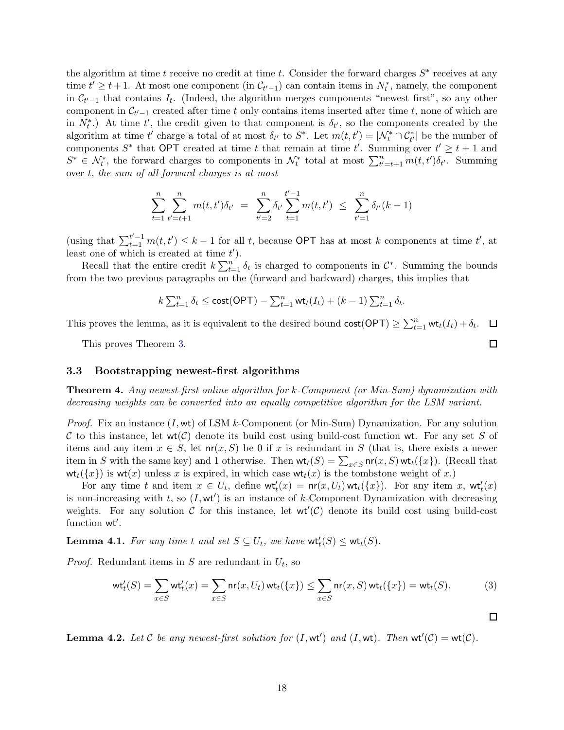the algorithm at time t receive no credit at time t. Consider the forward charges  $S^*$  receives at any time  $t' \geq t+1$ . At most one component (in  $\mathcal{C}_{t'-1}$ ) can contain items in  $N_t^*$ , namely, the component in  $\mathcal{C}_{t'-1}$  that contains  $I_t$ . (Indeed, the algorithm merges components "newest first", so any other component in  $\mathcal{C}_{t'-1}$  created after time t only contains items inserted after time t, none of which are in  $N_t^*$ .) At time t', the credit given to that component is  $\delta_{t'}$ , so the components created by the algorithm at time t' charge a total of at most  $\delta_{t'}$  to  $S^*$ . Let  $m(t, t') = |{\mathcal{N}}_t^* \cap {\mathcal{C}}_{t'}^*|$  be the number of components  $S^*$  that OPT created at time t that remain at time t'. Summing over  $t' \geq t + 1$  and  $S^* \in \mathcal{N}_t^*$ , the forward charges to components in  $\mathcal{N}_t^*$  total at most  $\sum_{t'=t+1}^n m(t,t') \delta_{t'}$ . Summing over t, the sum of all forward charges is at most

$$
\sum_{t=1}^{n} \sum_{t'=t+1}^{n} m(t, t') \delta_{t'} = \sum_{t'=2}^{n} \delta_{t'} \sum_{t=1}^{t'-1} m(t, t') \leq \sum_{t'=1}^{n} \delta_{t'}(k-1)
$$

(using that  $\sum_{t=1}^{t'-1} m(t, t') \leq k-1$  for all t, because OPT has at most k components at time t', at least one of which is created at time  $t'$ ).

Recall that the entire credit  $k \sum_{t=1}^{n} \delta_t$  is charged to components in  $\mathcal{C}^*$ . Summing the bounds from the two previous paragraphs on the (forward and backward) charges, this implies that

$$
k\sum_{t=1}^n \delta_t \le \text{cost}(\mathsf{OPT}) - \sum_{t=1}^n \mathsf{wt}_t(I_t) + (k-1)\sum_{t=1}^n \delta_t.
$$

This proves the lemma, as it is equivalent to the desired bound  $\text{cost}(\text{OPT}) \geq \sum_{t=1}^{n} \text{wt}_t(I_t) + \delta_t$ .  $\Box$ 

This proves Theorem [3.](#page-15-0)

### <span id="page-17-1"></span>3.3 Bootstrapping newest-first algorithms

<span id="page-17-0"></span>Theorem 4. Any newest-first online algorithm for k-Component (or Min-Sum) dynamization with decreasing weights can be converted into an equally competitive algorithm for the LSM variant.

*Proof.* Fix an instance  $(I, \text{wt})$  of LSM k-Component (or Min-Sum) Dynamization. For any solution C to this instance, let  $\text{wt}(\mathcal{C})$  denote its build cost using build-cost function wt. For any set S of items and any item  $x \in S$ , let  $nr(x, S)$  be 0 if x is redundant in S (that is, there exists a newer item in S with the same key) and 1 otherwise. Then  $\mathsf{wt}_t(S) = \sum_{x \in S} \mathsf{nr}(x, S) \mathsf{wt}_t({x})$ . (Recall that  $wt_t({x})$  is  $wt(x)$  unless x is expired, in which case  $wt_t(x)$  is the tombstone weight of x.)

For any time t and item  $x \in U_t$ , define  $\mathsf{wt}'_t(x) = \mathsf{nr}(x, U_t) \mathsf{wt}_t(\{x\})$ . For any item x,  $\mathsf{wt}'_t(x)$ is non-increasing with  $t$ , so  $(I, \text{wt}')$  is an instance of k-Component Dynamization with decreasing weights. For any solution  $C$  for this instance, let  $wt'(C)$  denote its build cost using build-cost function wt′ .

<span id="page-17-4"></span>**Lemma 4.1.** For any time t and set  $S \subseteq U_t$ , we have  $\mathsf{wt}_t'(S) \leq \mathsf{wt}_t(S)$ .

*Proof.* Redundant items in S are redundant in  $U_t$ , so

$$
\operatorname{wt}'_t(S) = \sum_{x \in S} \operatorname{wt}'_t(x) = \sum_{x \in S} \operatorname{nr}(x, U_t) \operatorname{wt}_t(\{x\}) \le \sum_{x \in S} \operatorname{nr}(x, S) \operatorname{wt}_t(\{x\}) = \operatorname{wt}_t(S). \tag{3}
$$

<span id="page-17-3"></span>**Lemma 4.2.** Let C be any newest-first solution for  $(I, \text{wt}')$  and  $(I, \text{wt})$ . Then  $\text{wt}'(\mathcal{C}) = \text{wt}(\mathcal{C})$ .

 $\Box$ 

<span id="page-17-2"></span> $\Box$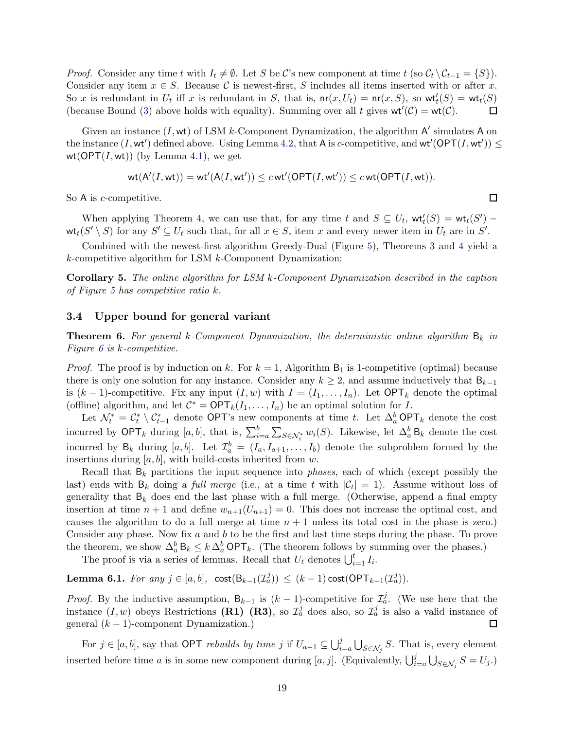*Proof.* Consider any time t with  $I_t \neq \emptyset$ . Let S be C's new component at time t (so  $C_t \setminus C_{t-1} = \{S\}$ ). Consider any item  $x \in S$ . Because C is newest-first, S includes all items inserted with or after x. So x is redundant in  $U_t$  iff x is redundant in S, that is,  $\text{nr}(x, U_t) = \text{nr}(x, S)$ , so  $\text{wt}'_t(S) = \text{wt}_t(S)$ (because Bound [\(3\)](#page-17-2) above holds with equality). Summing over all t gives  $wt'(C) = wt(C)$ .  $\Box$ 

Given an instance  $(I, \mathsf{wt})$  of LSM k-Component Dynamization, the algorithm  $\mathsf{A}'$  simulates  $\mathsf{A}$  on the instance  $(I, \text{wt}')$  defined above. Using Lemma [4.2,](#page-17-3) that A is c-competitive, and  $\text{wt}'(\text{OPT}(I, \text{wt}')) \le$ wt( $OPT(I, wt)$ ) (by Lemma [4.1\)](#page-17-4), we get

$$
\text{wt}(\mathsf{A}'(I,\textsf{wt})) = \text{wt}'(\mathsf{A}(I,\textsf{wt}')) \leq c \,\text{wt}'(\mathsf{OPT}(I,\textsf{wt}')) \leq c \,\text{wt}(\mathsf{OPT}(I,\textsf{wt})).
$$

So A is *c*-competitive.

When applying Theorem [4,](#page-17-0) we can use that, for any time t and  $S \subseteq U_t$ ,  $\mathsf{wt}'_t(S) = \mathsf{wt}_t(S') \mathsf{wt}_t(S' \setminus S)$  for any  $S' \subseteq U_t$  such that, for all  $x \in S$ , item x and every newer item in  $U_t$  are in  $S'$ .

Combined with the newest-first algorithm Greedy-Dual (Figure [5\)](#page-5-4), Theorems [3](#page-15-0) and [4](#page-17-0) yield a k-competitive algorithm for LSM k-Component Dynamization:

<span id="page-18-0"></span>Corollary 5. The online algorithm for LSM k-Component Dynamization described in the caption of Figure [5](#page-5-4) has competitive ratio k.

#### <span id="page-18-2"></span>3.4 Upper bound for general variant

<span id="page-18-1"></span>**Theorem 6.** For general k-Component Dynamization, the deterministic online algorithm  $B_k$  in Figure [6](#page-6-0) is k-competitive.

*Proof.* The proof is by induction on k. For  $k = 1$ , Algorithm  $B_1$  is 1-competitive (optimal) because there is only one solution for any instance. Consider any  $k \geq 2$ , and assume inductively that  $B_{k-1}$ is  $(k-1)$ -competitive. Fix any input  $(I, w)$  with  $I = (I_1, \ldots, I_n)$ . Let OPT<sub>k</sub> denote the optimal (offline) algorithm, and let  $C^* = \text{OPT}_k(I_1, \ldots, I_n)$  be an optimal solution for I.

Let  $\mathcal{N}_t^* = \mathcal{C}_t^* \setminus \mathcal{C}_{t-1}^*$  denote OPT's new components at time t. Let  $\Delta_a^b$  OPT<sub>k</sub> denote the cost incurred by  $\mathsf{OPT}_k$  during  $[a, b]$ , that is,  $\sum_{i=a}^b \sum_{S \in \mathcal{N}_i^*} w_i(S)$ . Likewise, let  $\Delta_a^b$  B<sub>k</sub> denote the cost incurred by  $B_k$  during  $[a, b]$ . Let  $\mathcal{I}_a^b = (I_a, I_{a+1}, \ldots, I_b)$  denote the subproblem formed by the insertions during  $[a, b]$ , with build-costs inherited from w.

Recall that  $B_k$  partitions the input sequence into *phases*, each of which (except possibly the last) ends with  $B_k$  doing a *full merge* (i.e., at a time t with  $|\mathcal{C}_t| = 1$ ). Assume without loss of generality that  $B_k$  does end the last phase with a full merge. (Otherwise, append a final empty insertion at time  $n + 1$  and define  $w_{n+1}(U_{n+1}) = 0$ . This does not increase the optimal cost, and causes the algorithm to do a full merge at time  $n + 1$  unless its total cost in the phase is zero.) Consider any phase. Now fix  $a$  and  $b$  to be the first and last time steps during the phase. To prove the theorem, we show  $\Delta_a^b$  B<sub>k</sub>  $\leq k \Delta_a^b$  OPT<sub>k</sub>. (The theorem follows by summing over the phases.)

The proof is via a series of lemmas. Recall that  $U_t$  denotes  $\bigcup_{i=1}^t I_i$ .

<span id="page-18-3"></span>**Lemma 6.1.** For any  $j \in [a, b]$ ,  $\text{cost}(\mathsf{B}_{k-1}(\mathcal{I}_a^j)) \leq (k-1)\text{cost}(\text{OPT}_{k-1}(\mathcal{I}_a^j)).$ 

*Proof.* By the inductive assumption,  $B_{k-1}$  is  $(k-1)$ -competitive for  $\mathcal{I}_{a}^{j}$ . (We use here that the instance  $(I, w)$  obeys Restrictions (R1)–(R3), so  $\mathcal{I}_a^j$  does also, so  $\mathcal{I}_a^j$  is also a valid instance of general  $(k - 1)$ -component Dynamization.)  $\Box$ 

For  $j \in [a, b]$ , say that OPT *rebuilds by time* j if  $U_{a-1} \subseteq \bigcup_{i=a}^{j} \bigcup_{S \in \mathcal{N}_j} S$ . That is, every element inserted before time a is in some new component during [a, j]. (Equivalently,  $\bigcup_{i=a}^{j} \bigcup_{S \in \mathcal{N}_j} S = U_j$ .)

 $\Box$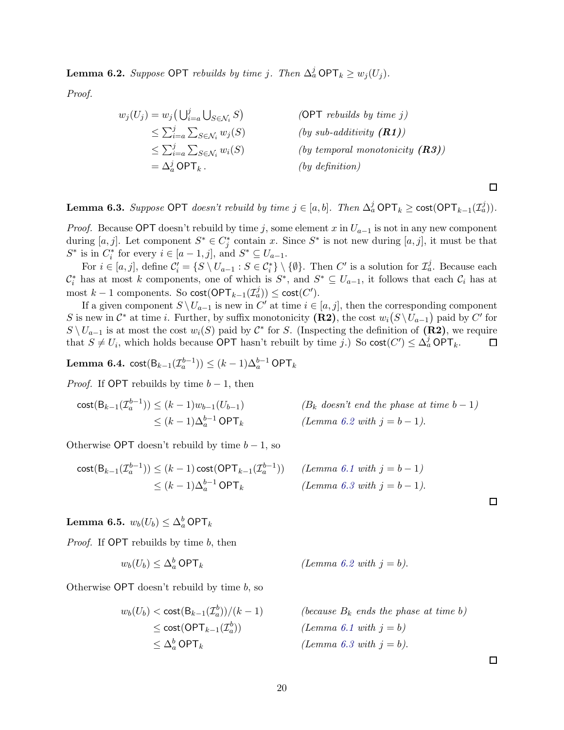<span id="page-19-0"></span>**Lemma 6.2.** Suppose OPT rebuilds by time j. Then  $\Delta_a^j$  OPT<sub>k</sub>  $\geq w_j(U_j)$ .

Proof.

$$
w_j(U_j) = w_j \left( \bigcup_{i=a}^j \bigcup_{S \in \mathcal{N}_i} S \right) \qquad \qquad \text{(OPT
$$
 *rebuilds by time j*)  
\n
$$
\leq \sum_{i=a}^j \sum_{S \in \mathcal{N}_i} w_j(S) \qquad \qquad \text{(by sub-additivity (\mathbf{R1}))}
$$
  
\n
$$
\leq \sum_{i=a}^j \sum_{S \in \mathcal{N}_i} w_i(S) \qquad \qquad \text{(by temporal monotonicity (\mathbf{R3}))}
$$
  
\n
$$
= \Delta_a^j \text{OPT}_k \, . \qquad \qquad \text{(by definition)}
$$

<span id="page-19-1"></span>**Lemma 6.3.** Suppose OPT doesn't rebuild by time  $j \in [a, b]$ . Then  $\Delta_a^j$  OPT<sub>k</sub>  $\geq$  cost(OPT<sub>k-1</sub>( $\mathcal{I}_a^j$ )).

*Proof.* Because OPT doesn't rebuild by time j, some element x in  $U_{a-1}$  is not in any new component during  $[a, j]$ . Let component  $S^* \in C_j^*$  contain x. Since  $S^*$  is not new during  $[a, j]$ , it must be that  $S^*$  is in  $C_i^*$  for every  $i \in [a-1,j]$ , and  $S^* \subseteq U_{a-1}$ .

For  $i \in [a, j]$ , define  $\mathcal{C}'_i = \{ S \setminus U_{a-1} : S \in \mathcal{C}_i^* \} \setminus \{ \emptyset \}$ . Then  $C'$  is a solution for  $\mathcal{I}_a^j$ . Because each  $\mathcal{C}_i^*$  has at most k components, one of which is  $S^*$ , and  $S^* \subseteq U_{a-1}$ , it follows that each  $\mathcal{C}_i$  has at most  $k-1$  components. So  $cost(OPT_{k-1}(\mathcal{I}_a^j)) \leq cost(C').$ 

If a given component  $S \setminus U_{a-1}$  is new in  $C'$  at time  $i \in [a, j]$ , then the corresponding component S is new in  $\mathcal{C}^*$  at time *i*. Further, by suffix monotonicity (R2), the cost  $w_i(S \setminus U_{a-1})$  paid by  $C'$  for  $S \setminus U_{a-1}$  is at most the cost  $w_i(S)$  paid by  $\mathcal{C}^*$  for S. (Inspecting the definition of  $(\mathbf{R2})$ , we require that  $S \neq U_i$ , which holds because OPT hasn't rebuilt by time j.) So  $\text{cost}(C') \leq \Delta_a^j \text{OPT}_k$ . 囗

<span id="page-19-2"></span>Lemma 6.4.  $\text{cost}(\mathsf{B}_{k-1}(\mathcal{I}_{a}^{b-1})) \leq (k-1)\Delta_a^{b-1} \text{OPT}_k$ 

*Proof.* If OPT rebuilds by time  $b-1$ , then

$$
\begin{aligned}\n\text{cost}(B_{k-1}(\mathcal{I}_a^{b-1})) &\leq (k-1)w_{b-1}(U_{b-1}) & \quad (B_k \text{ doesn't end the phase at time } b-1) \\
&\leq (k-1)\Delta_a^{b-1} \text{OPT}_k & \quad (Lemma 6.2 \text{ with } j = b-1).\n\end{aligned}
$$

Otherwise OPT doesn't rebuild by time  $b - 1$ , so

$$
\begin{aligned}\n\text{cost}(B_{k-1}(\mathcal{I}_a^{b-1})) &\leq (k-1)\,\text{cost}(\text{OPT}_{k-1}(\mathcal{I}_a^{b-1})) \\
&\leq (k-1)\Delta_a^{b-1}\,\text{OPT}_k\n\end{aligned}\n\quad\n(\text{Lemma 6.1 with } j = b-1).\n\tag{Lemma 6.3 with } j = b-1).
$$

<span id="page-19-3"></span>Lemma 6.5.  $w_b(U_b) \leq \Delta_a^b$  OPT<sub>k</sub>

Proof. If OPT rebuilds by time b, then

$$
w_b(U_b) \le \Delta_a^b \text{ OPT}_k \qquad \qquad (Lemma 6.2 \text{ with } j = b).
$$

Otherwise  $\mathsf{OPT}$  doesn't rebuild by time b, so

$$
w_b(U_b) < \text{cost}(\mathsf{B}_{k-1}(\mathcal{I}_a^b))/(k-1)
$$
\n
$$
\leq \text{cost}(\mathsf{OPT}_{k-1}(\mathcal{I}_a^b))
$$
\n
$$
\leq \Delta_a^b \mathsf{OPT}_k
$$

(because  $B_k$  ends the phase at time b) (Lemma [6.1](#page-18-3) with  $j = b$ ) (Lemma [6.3](#page-19-1) with  $j = b$ ).

 $\Box$ 

 $\Box$ 

 $\Box$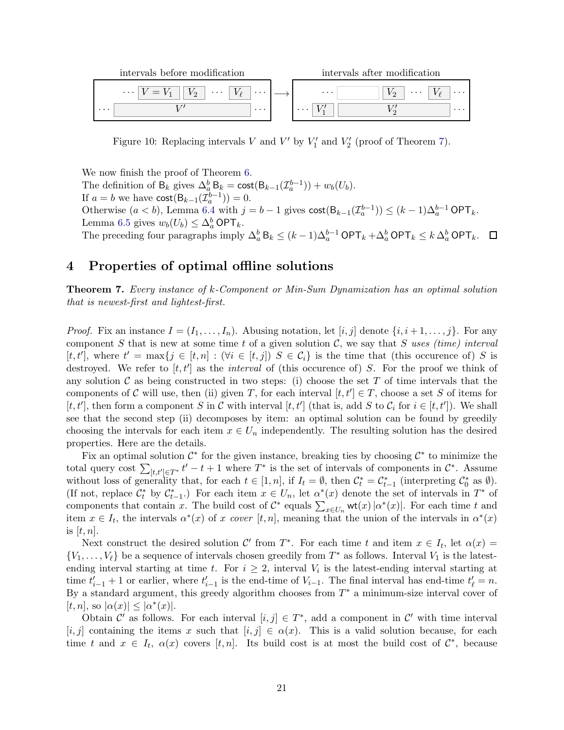

<span id="page-20-2"></span>Figure 10: Replacing intervals V and V' by  $V'_1$  and  $V'_2$  (proof of Theorem [7\)](#page-20-0).

We now finish the proof of Theorem [6.](#page-18-1) The definition of  $B_k$  gives  $\Delta_a^b B_k = \text{cost}(B_{k-1}(\mathcal{I}_a^{b-1})) + w_b(U_b)$ . If  $a = b$  we have  $\text{cost}(\mathsf{B}_{k-1}(\mathcal{I}_a^{b-1})) = 0.$ Otherwise  $(a < b)$ , Lemma [6.4](#page-19-2) with  $j = b - 1$  gives  $\text{cost}(\mathsf{B}_{k-1}(\mathcal{I}_a^{b-1})) \leq (k-1)\Delta_a^{b-1} \text{OPT}_k$ . Lemma [6.5](#page-19-3) gives  $w_b(U_b) \leq \Delta_a^b \textsf{OPT}_k$ . The preceding four paragraphs imply  $\Delta_a^b$  B<sub>k</sub>  $\leq (k-1)\Delta_a^{b-1}$  OPT<sub>k</sub> +  $\Delta_a^b$  OPT<sub>k</sub>  $\leq k \Delta_a^b$  OPT<sub>k</sub>.

### <span id="page-20-1"></span>4 Properties of optimal offline solutions

<span id="page-20-0"></span>Theorem 7. Every instance of k-Component or Min-Sum Dynamization has an optimal solution that is newest-first and lightest-first.

*Proof.* Fix an instance  $I = (I_1, \ldots, I_n)$ . Abusing notation, let  $[i, j]$  denote  $\{i, i+1, \ldots, j\}$ . For any component S that is new at some time t of a given solution  $\mathcal{C}$ , we say that S uses (time) interval  $[t, t']$ , where  $t' = \max\{j \in [t, n] : (\forall i \in [t, j]) \mid S \in C_i\}$  is the time that (this occurence of) S is destroyed. We refer to  $[t, t']$  as the *interval* of (this occurence of) S. For the proof we think of any solution  $\mathcal C$  as being constructed in two steps: (i) choose the set T of time intervals that the components of C will use, then (ii) given T, for each interval  $[t, t'] \in T$ , choose a set S of items for  $[t, t']$ , then form a component S in C with interval  $[t, t']$  (that is, add S to C<sub>i</sub> for  $i \in [t, t']$ ). We shall see that the second step (ii) decomposes by item: an optimal solution can be found by greedily choosing the intervals for each item  $x \in U_n$  independently. The resulting solution has the desired properties. Here are the details.

Fix an optimal solution  $\mathcal{C}^*$  for the given instance, breaking ties by choosing  $\mathcal{C}^*$  to minimize the total query cost  $\sum_{[t,t'] \in T^*} t' - t + 1$  where  $T^*$  is the set of intervals of components in  $\mathcal{C}^*$ . Assume without loss of generality that, for each  $t \in [1, n]$ , if  $I_t = \emptyset$ , then  $\mathcal{C}_t^* = \mathcal{C}_{t-1}^*$  (interpreting  $\mathcal{C}_0^*$  as  $\emptyset$ ). (If not, replace  $\mathcal{C}_t^*$  by  $\mathcal{C}_{t-1}^*$ .) For each item  $x \in U_n$ , let  $\alpha^*(x)$  denote the set of intervals in  $T^*$  of components that contain x. The build cost of  $\mathcal{C}^*$  equals  $\sum_{x \in U_n} \mathsf{wt}(x) |\alpha^*(x)|$ . For each time t and item  $x \in I_t$ , the intervals  $\alpha^*(x)$  of x cover [t, n], meaning that the union of the intervals in  $\alpha^*(x)$ is  $[t, n]$ .

Next construct the desired solution  $\mathcal{C}'$  from  $T^*$ . For each time t and item  $x \in I_t$ , let  $\alpha(x) =$  ${V_1, \ldots, V_\ell}$  be a sequence of intervals chosen greedily from  $T^*$  as follows. Interval  $V_1$  is the latestending interval starting at time t. For  $i \geq 2$ , interval  $V_i$  is the latest-ending interval starting at time  $t'_{i-1} + 1$  or earlier, where  $t'_{i-1}$  is the end-time of  $V_{i-1}$ . The final interval has end-time  $t'_{\ell} = n$ . By a standard argument, this greedy algorithm chooses from  $T^*$  a minimum-size interval cover of [t, n], so  $|\alpha(x)| \leq |\alpha^*(x)|$ .

Obtain  $\mathcal{C}'$  as follows. For each interval  $[i, j] \in T^*$ , add a component in  $\mathcal{C}'$  with time interval  $[i, j]$  containing the items x such that  $[i, j] \in \alpha(x)$ . This is a valid solution because, for each time t and  $x \in I_t$ ,  $\alpha(x)$  covers  $[t, n]$ . Its build cost is at most the build cost of  $\mathcal{C}^*$ , because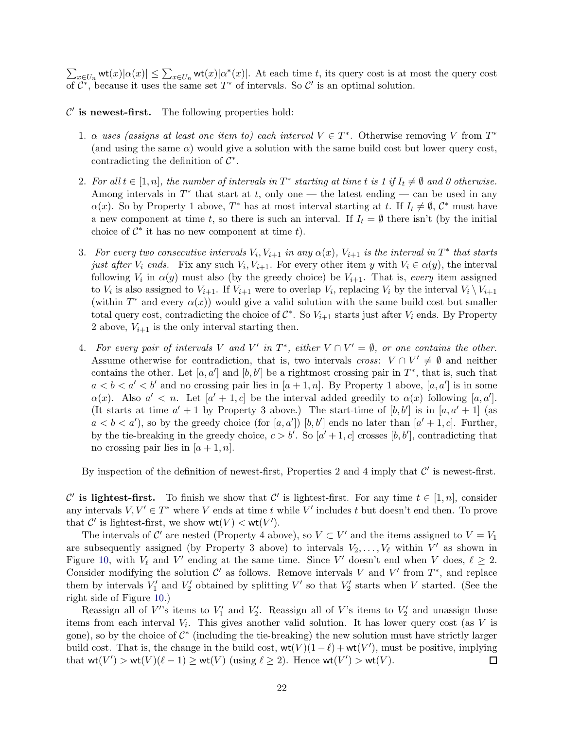$\sum_{x\in U_n} \text{wt}(x)|\alpha(x)| \leq \sum_{x\in U_n} \text{wt}(x)|\alpha^*(x)|$ . At each time t, its query cost is at most the query cost of  $\mathcal{C}^*$ , because it uses the same set  $T^*$  of intervals. So  $\mathcal{C}'$  is an optimal solution.

 $\mathcal{C}'$  is newest-first. The following properties hold:

- 1.  $\alpha$  uses (assigns at least one item to) each interval  $V \in T^*$ . Otherwise removing V from  $T^*$ (and using the same  $\alpha$ ) would give a solution with the same build cost but lower query cost, contradicting the definition of  $\mathcal{C}^*$ .
- 2. For all  $t \in [1, n]$ , the number of intervals in  $T^*$  starting at time t is 1 if  $I_t \neq \emptyset$  and 0 otherwise. Among intervals in  $T^*$  that start at t, only one — the latest ending — can be used in any  $\alpha(x)$ . So by Property 1 above, T<sup>\*</sup> has at most interval starting at t. If  $I_t \neq \emptyset$ ,  $\mathcal{C}^*$  must have a new component at time t, so there is such an interval. If  $I_t = \emptyset$  there isn't (by the initial choice of  $\mathcal{C}^*$  it has no new component at time  $t$ ).
- 3. For every two consecutive intervals  $V_i$ ,  $V_{i+1}$  in any  $\alpha(x)$ ,  $V_{i+1}$  is the interval in  $T^*$  that starts just after  $V_i$  ends. Fix any such  $V_i$ ,  $V_{i+1}$ . For every other item y with  $V_i \in \alpha(y)$ , the interval following  $V_i$  in  $\alpha(y)$  must also (by the greedy choice) be  $V_{i+1}$ . That is, every item assigned to  $V_i$  is also assigned to  $V_{i+1}$ . If  $V_{i+1}$  were to overlap  $V_i$ , replacing  $V_i$  by the interval  $V_i \setminus V_{i+1}$ (within  $T^*$  and every  $\alpha(x)$ ) would give a valid solution with the same build cost but smaller total query cost, contradicting the choice of  $C^*$ . So  $V_{i+1}$  starts just after  $V_i$  ends. By Property 2 above,  $V_{i+1}$  is the only interval starting then.
- 4. For every pair of intervals V and V' in  $T^*$ , either  $V \cap V' = \emptyset$ , or one contains the other. Assume otherwise for contradiction, that is, two intervals cross:  $V \cap V' \neq \emptyset$  and neither contains the other. Let  $[a, a']$  and  $[b, b']$  be a rightmost crossing pair in  $T^*$ , that is, such that  $a < b < a' < b'$  and no crossing pair lies in  $[a + 1, n]$ . By Property 1 above,  $[a, a']$  is in some  $\alpha(x)$ . Also  $a' < n$ . Let  $[a' + 1, c]$  be the interval added greedily to  $\alpha(x)$  following  $[a, a']$ . (It starts at time  $a' + 1$  by Property 3 above.) The start-time of  $[b, b']$  is in  $[a, a' + 1]$  (as  $a < b < a'$ ), so by the greedy choice (for [a, a']) [b, b'] ends no later than [a' + 1, c]. Further, by the tie-breaking in the greedy choice,  $c > b'$ . So  $[a' + 1, c]$  crosses  $[b, b']$ , contradicting that no crossing pair lies in  $[a + 1, n]$ .

By inspection of the definition of newest-first, Properties 2 and 4 imply that  $\mathcal{C}'$  is newest-first.

C' is lightest-first. To finish we show that C' is lightest-first. For any time  $t \in [1, n]$ , consider any intervals  $V, V' \in T^*$  where V ends at time t while V' includes t but doesn't end then. To prove that  $\mathcal{C}'$  is lightest-first, we show  $\mathsf{wt}(V) < \mathsf{wt}(V')$ .

The intervals of C' are nested (Property 4 above), so  $V \subset V'$  and the items assigned to  $V = V_1$ are subsequently assigned (by Property 3 above) to intervals  $V_2, \ldots, V_\ell$  within V' as shown in Figure [10,](#page-20-2) with  $V_{\ell}$  and  $V'$  ending at the same time. Since V' doesn't end when V does,  $\ell \geq 2$ . Consider modifying the solution  $\mathcal{C}'$  as follows. Remove intervals V and V' from  $T^*$ , and replace them by intervals  $V'_1$  and  $V'_2$  obtained by splitting V' so that  $V'_2$  starts when V started. (See the right side of Figure [10.](#page-20-2))

Reassign all of  $V'$ 's items to  $V'_1$  and  $V'_2$ . Reassign all of V's items to  $V'_2$  and unassign those items from each interval  $V_i$ . This gives another valid solution. It has lower query cost (as V is gone), so by the choice of  $\mathcal{C}^*$  (including the tie-breaking) the new solution must have strictly larger build cost. That is, the change in the build cost,  $wt(V)(1-\ell) + wt(V')$ , must be positive, implying that  $\text{wt}(V') > \text{wt}(V)(\ell - 1) \ge \text{wt}(V)$  (using  $\ell \ge 2$ ). Hence  $\text{wt}(V') > \text{wt}(V)$ .  $\Box$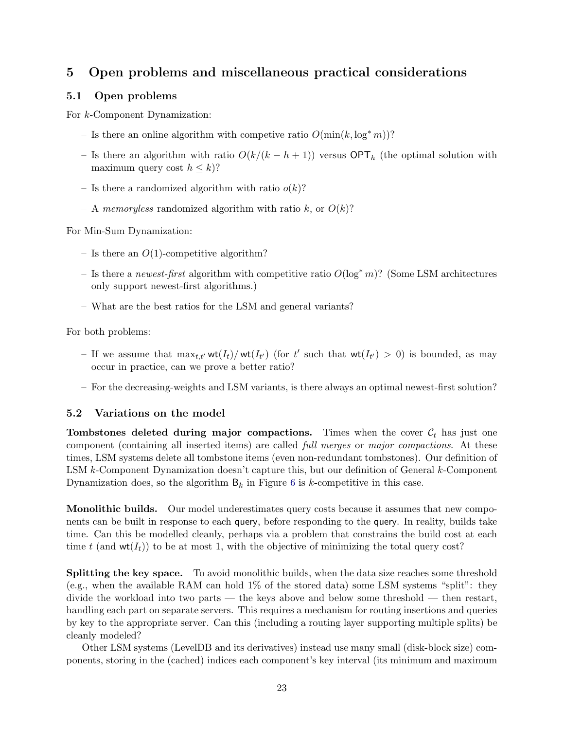# 5 Open problems and miscellaneous practical considerations

### 5.1 Open problems

For k-Component Dynamization:

- Is there an online algorithm with competive ratio  $O(\min(k, \log^* m))$ ?
- Is there an algorithm with ratio  $O(k/(k-h+1))$  versus  $\mathsf{OPT}_h$  (the optimal solution with maximum query cost  $h \leq k$ ?
- Is there a randomized algorithm with ratio  $o(k)$ ?
- A memoryless randomized algorithm with ratio k, or  $O(k)$ ?

For Min-Sum Dynamization:

- Is there an  $O(1)$ -competitive algorithm?
- Is there a newest-first algorithm with competitive ratio  $O(\log^* m)$ ? (Some LSM architectures only support newest-first algorithms.)
- What are the best ratios for the LSM and general variants?

For both problems:

- If we assume that  $\max_{t,t'} \mathsf{wt}(I_t) / \mathsf{wt}(I_{t'})$  (for t' such that  $\mathsf{wt}(I_{t'}) > 0$ ) is bounded, as may occur in practice, can we prove a better ratio?
- For the decreasing-weights and LSM variants, is there always an optimal newest-first solution?

### <span id="page-22-0"></span>5.2 Variations on the model

**Tombstones deleted during major compactions.** Times when the cover  $\mathcal{C}_t$  has just one component (containing all inserted items) are called full merges or major compactions. At these times, LSM systems delete all tombstone items (even non-redundant tombstones). Our definition of LSM k-Component Dynamization doesn't capture this, but our definition of General k-Component Dynamization does, so the algorithm  $B_k$  in Figure [6](#page-6-0) is k-competitive in this case.

Monolithic builds. Our model underestimates query costs because it assumes that new components can be built in response to each query, before responding to the query. In reality, builds take time. Can this be modelled cleanly, perhaps via a problem that constrains the build cost at each time t (and  $wt(I_t)$ ) to be at most 1, with the objective of minimizing the total query cost?

Splitting the key space. To avoid monolithic builds, when the data size reaches some threshold (e.g., when the available RAM can hold 1% of the stored data) some LSM systems "split": they divide the workload into two parts — the keys above and below some threshold — then restart, handling each part on separate servers. This requires a mechanism for routing insertions and queries by key to the appropriate server. Can this (including a routing layer supporting multiple splits) be cleanly modeled?

Other LSM systems (LevelDB and its derivatives) instead use many small (disk-block size) components, storing in the (cached) indices each component's key interval (its minimum and maximum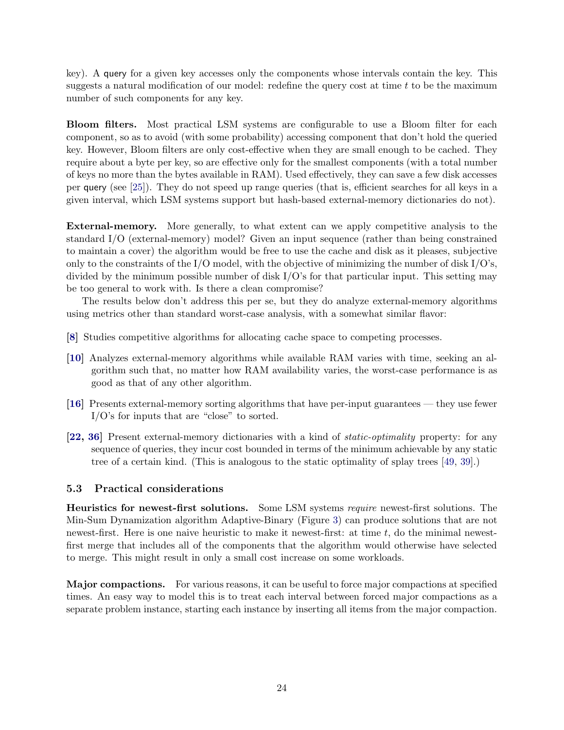key). A query for a given key accesses only the components whose intervals contain the key. This suggests a natural modification of our model: redefine the query cost at time  $t$  to be the maximum number of such components for any key.

Bloom filters. Most practical LSM systems are configurable to use a Bloom filter for each component, so as to avoid (with some probability) accessing component that don't hold the queried key. However, Bloom filters are only cost-effective when they are small enough to be cached. They require about a byte per key, so are effective only for the smallest components (with a total number of keys no more than the bytes available in RAM). Used effectively, they can save a few disk accesses per query (see [\[25\]](#page-26-11)). They do not speed up range queries (that is, efficient searches for all keys in a given interval, which LSM systems support but hash-based external-memory dictionaries do not).

External-memory. More generally, to what extent can we apply competitive analysis to the standard I/O (external-memory) model? Given an input sequence (rather than being constrained to maintain a cover) the algorithm would be free to use the cache and disk as it pleases, subjective only to the constraints of the I/O model, with the objective of minimizing the number of disk  $I/O$ 's, divided by the minimum possible number of disk I/O's for that particular input. This setting may be too general to work with. Is there a clean compromise?

The results below don't address this per se, but they do analyze external-memory algorithms using metrics other than standard worst-case analysis, with a somewhat similar flavor:

- [\[8\]](#page-25-13) Studies competitive algorithms for allocating cache space to competing processes.
- [\[10\]](#page-25-10) Analyzes external-memory algorithms while available RAM varies with time, seeking an algorithm such that, no matter how RAM availability varies, the worst-case performance is as good as that of any other algorithm.
- [\[16\]](#page-25-9) Presents external-memory sorting algorithms that have per-input guarantees they use fewer I/O's for inputs that are "close" to sorted.
- [\[22,](#page-26-12) [36\]](#page-27-12) Present external-memory dictionaries with a kind of static-optimality property: for any sequence of queries, they incur cost bounded in terms of the minimum achievable by any static tree of a certain kind. (This is analogous to the static optimality of splay trees [\[49,](#page-28-5) [39\]](#page-27-13).)

### 5.3 Practical considerations

Heuristics for newest-first solutions. Some LSM systems require newest-first solutions. The Min-Sum Dynamization algorithm Adaptive-Binary (Figure [3\)](#page-3-0) can produce solutions that are not newest-first. Here is one naive heuristic to make it newest-first: at time  $t$ , do the minimal newestfirst merge that includes all of the components that the algorithm would otherwise have selected to merge. This might result in only a small cost increase on some workloads.

Major compactions. For various reasons, it can be useful to force major compactions at specified times. An easy way to model this is to treat each interval between forced major compactions as a separate problem instance, starting each instance by inserting all items from the major compaction.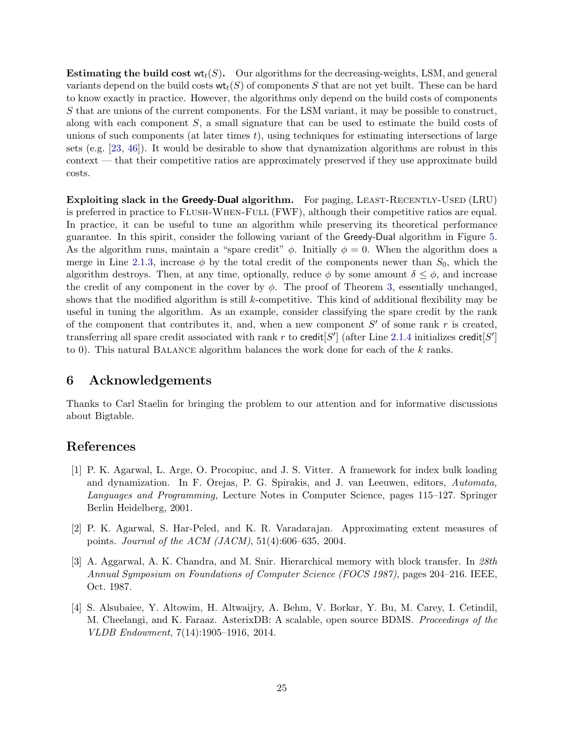**Estimating the build cost**  $wt_t(S)$ **.** Our algorithms for the decreasing-weights, LSM, and general variants depend on the build costs  $\mathbf{wt}_t(S)$  of components S that are not yet built. These can be hard to know exactly in practice. However, the algorithms only depend on the build costs of components S that are unions of the current components. For the LSM variant, it may be possible to construct, along with each component S, a small signature that can be used to estimate the build costs of unions of such components (at later times  $t$ ), using techniques for estimating intersections of large sets (e.g. [\[23,](#page-26-13) [46\]](#page-27-14)). It would be desirable to show that dynamization algorithms are robust in this context — that their competitive ratios are approximately preserved if they use approximate build costs.

**Exploiting slack in the Greedy-Dual algorithm.** For paging, LEAST-RECENTLY-USED (LRU) is preferred in practice to Flush-When-Full (FWF), although their competitive ratios are equal. In practice, it can be useful to tune an algorithm while preserving its theoretical performance guarantee. In this spirit, consider the following variant of the Greedy-Dual algorithm in Figure [5.](#page-5-4) As the algorithm runs, maintain a "spare credit"  $\phi$ . Initially  $\phi = 0$ . When the algorithm does a merge in Line [2.1.3,](#page-5-0) increase  $\phi$  by the total credit of the components newer than  $S_0$ , which the algorithm destroys. Then, at any time, optionally, reduce  $\phi$  by some amount  $\delta \leq \phi$ , and increase the credit of any component in the cover by  $\phi$ . The proof of Theorem [3,](#page-15-0) essentially unchanged, shows that the modified algorithm is still  $k$ -competitive. This kind of additional flexibility may be useful in tuning the algorithm. As an example, consider classifying the spare credit by the rank of the component that contributes it, and, when a new component  $S'$  of some rank r is created, transferring all spare credit associated with rank r to credit  $S'$  (after Line [2.1.4](#page-5-8) initializes credit  $S'$ ) to 0). This natural Balance algorithm balances the work done for each of the k ranks.

# 6 Acknowledgements

Thanks to Carl Staelin for bringing the problem to our attention and for informative discussions about Bigtable.

### <span id="page-24-0"></span>References

- [1] P. K. Agarwal, L. Arge, O. Procopiuc, and J. S. Vitter. A framework for index bulk loading and dynamization. In F. Orejas, P. G. Spirakis, and J. van Leeuwen, editors, Automata, Languages and Programming, Lecture Notes in Computer Science, pages 115–127. Springer Berlin Heidelberg, 2001.
- <span id="page-24-1"></span>[2] P. K. Agarwal, S. Har-Peled, and K. R. Varadarajan. Approximating extent measures of points. Journal of the ACM (JACM), 51(4):606–635, 2004.
- <span id="page-24-2"></span>[3] A. Aggarwal, A. K. Chandra, and M. Snir. Hierarchical memory with block transfer. In 28th Annual Symposium on Foundations of Computer Science (FOCS 1987), pages 204–216. IEEE, Oct. 1987.
- <span id="page-24-3"></span>[4] S. Alsubaiee, Y. Altowim, H. Altwaijry, A. Behm, V. Borkar, Y. Bu, M. Carey, I. Cetindil, M. Cheelangi, and K. Faraaz. AsterixDB: A scalable, open source BDMS. Proceedings of the VLDB Endowment, 7(14):1905–1916, 2014.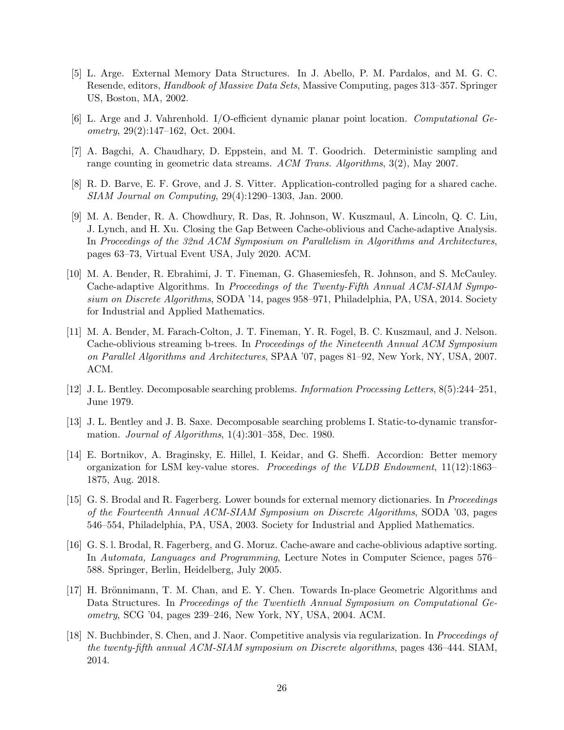- <span id="page-25-6"></span>[5] L. Arge. External Memory Data Structures. In J. Abello, P. M. Pardalos, and M. G. C. Resende, editors, Handbook of Massive Data Sets, Massive Computing, pages 313–357. Springer US, Boston, MA, 2002.
- <span id="page-25-2"></span><span id="page-25-1"></span>[6] L. Arge and J. Vahrenhold. I/O-efficient dynamic planar point location. Computational Geometry,  $29(2):147-162$ , Oct. 2004.
- <span id="page-25-13"></span>[7] A. Bagchi, A. Chaudhary, D. Eppstein, and M. T. Goodrich. Deterministic sampling and range counting in geometric data streams. ACM Trans. Algorithms, 3(2), May 2007.
- <span id="page-25-11"></span>[8] R. D. Barve, E. F. Grove, and J. S. Vitter. Application-controlled paging for a shared cache. SIAM Journal on Computing, 29(4):1290–1303, Jan. 2000.
- [9] M. A. Bender, R. A. Chowdhury, R. Das, R. Johnson, W. Kuszmaul, A. Lincoln, Q. C. Liu, J. Lynch, and H. Xu. Closing the Gap Between Cache-oblivious and Cache-adaptive Analysis. In Proceedings of the 32nd ACM Symposium on Parallelism in Algorithms and Architectures, pages 63–73, Virtual Event USA, July 2020. ACM.
- <span id="page-25-10"></span>[10] M. A. Bender, R. Ebrahimi, J. T. Fineman, G. Ghasemiesfeh, R. Johnson, and S. McCauley. Cache-adaptive Algorithms. In Proceedings of the Twenty-Fifth Annual ACM-SIAM Symposium on Discrete Algorithms, SODA '14, pages 958–971, Philadelphia, PA, USA, 2014. Society for Industrial and Applied Mathematics.
- <span id="page-25-3"></span>[11] M. A. Bender, M. Farach-Colton, J. T. Fineman, Y. R. Fogel, B. C. Kuszmaul, and J. Nelson. Cache-oblivious streaming b-trees. In Proceedings of the Nineteenth Annual ACM Symposium on Parallel Algorithms and Architectures, SPAA '07, pages 81–92, New York, NY, USA, 2007. ACM.
- <span id="page-25-5"></span><span id="page-25-4"></span>[12] J. L. Bentley. Decomposable searching problems. Information Processing Letters, 8(5):244–251, June 1979.
- [13] J. L. Bentley and J. B. Saxe. Decomposable searching problems I. Static-to-dynamic transformation. Journal of Algorithms, 1(4):301–358, Dec. 1980.
- <span id="page-25-8"></span>[14] E. Bortnikov, A. Braginsky, E. Hillel, I. Keidar, and G. Sheffi. Accordion: Better memory organization for LSM key-value stores. Proceedings of the VLDB Endowment, 11(12):1863– 1875, Aug. 2018.
- <span id="page-25-7"></span>[15] G. S. Brodal and R. Fagerberg. Lower bounds for external memory dictionaries. In Proceedings of the Fourteenth Annual ACM-SIAM Symposium on Discrete Algorithms, SODA '03, pages 546–554, Philadelphia, PA, USA, 2003. Society for Industrial and Applied Mathematics.
- <span id="page-25-9"></span>[16] G. S. l. Brodal, R. Fagerberg, and G. Moruz. Cache-aware and cache-oblivious adaptive sorting. In Automata, Languages and Programming, Lecture Notes in Computer Science, pages 576– 588. Springer, Berlin, Heidelberg, July 2005.
- <span id="page-25-0"></span>[17] H. Brönnimann, T. M. Chan, and E. Y. Chen. Towards In-place Geometric Algorithms and Data Structures. In Proceedings of the Twentieth Annual Symposium on Computational Geometry, SCG '04, pages 239–246, New York, NY, USA, 2004. ACM.
- <span id="page-25-12"></span>[18] N. Buchbinder, S. Chen, and J. Naor. Competitive analysis via regularization. In *Proceedings of* the twenty-fifth annual ACM-SIAM symposium on Discrete algorithms, pages 436–444. SIAM, 2014.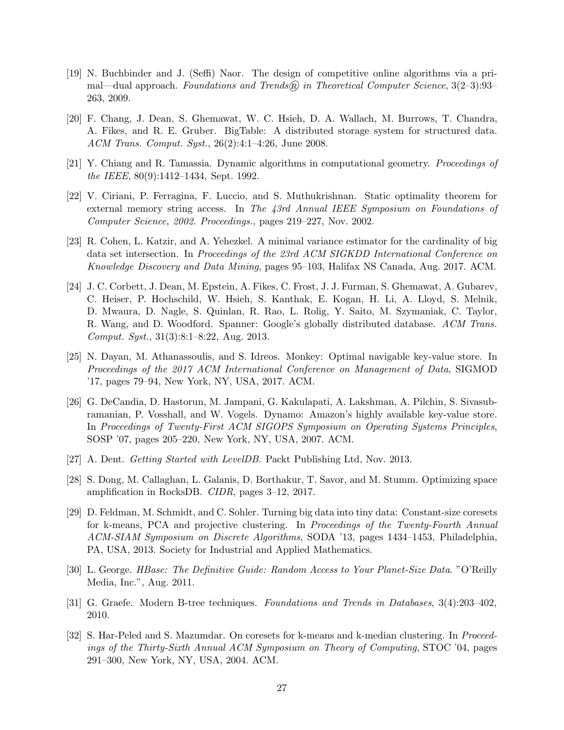- <span id="page-26-10"></span>[19] N. Buchbinder and J. (Seffi) Naor. The design of competitive online algorithms via a primal—dual approach. Foundations and Trends® in Theoretical Computer Science,  $3(2-3):93-$ 263, 2009.
- <span id="page-26-3"></span>[20] F. Chang, J. Dean, S. Ghemawat, W. C. Hsieh, D. A. Wallach, M. Burrows, T. Chandra, A. Fikes, and R. E. Gruber. BigTable: A distributed storage system for structured data. ACM Trans. Comput. Syst., 26(2):4:1–4:26, June 2008.
- <span id="page-26-12"></span><span id="page-26-0"></span>[21] Y. Chiang and R. Tamassia. Dynamic algorithms in computational geometry. Proceedings of the IEEE, 80(9):1412–1434, Sept. 1992.
- [22] V. Ciriani, P. Ferragina, F. Luccio, and S. Muthukrishnan. Static optimality theorem for external memory string access. In The 43rd Annual IEEE Symposium on Foundations of Computer Science, 2002. Proceedings., pages 219–227, Nov. 2002.
- <span id="page-26-13"></span>[23] R. Cohen, L. Katzir, and A. Yehezkel. A minimal variance estimator for the cardinality of big data set intersection. In Proceedings of the 23rd ACM SIGKDD International Conference on Knowledge Discovery and Data Mining, pages 95–103, Halifax NS Canada, Aug. 2017. ACM.
- <span id="page-26-4"></span>[24] J. C. Corbett, J. Dean, M. Epstein, A. Fikes, C. Frost, J. J. Furman, S. Ghemawat, A. Gubarev, C. Heiser, P. Hochschild, W. Hsieh, S. Kanthak, E. Kogan, H. Li, A. Lloyd, S. Melnik, D. Mwaura, D. Nagle, S. Quinlan, R. Rao, L. Rolig, Y. Saito, M. Szymaniak, C. Taylor, R. Wang, and D. Woodford. Spanner: Google's globally distributed database. ACM Trans. Comput. Syst., 31(3):8:1–8:22, Aug. 2013.
- <span id="page-26-11"></span>[25] N. Dayan, M. Athanassoulis, and S. Idreos. Monkey: Optimal navigable key-value store. In Proceedings of the 2017 ACM International Conference on Management of Data, SIGMOD '17, pages 79–94, New York, NY, USA, 2017. ACM.
- <span id="page-26-5"></span>[26] G. DeCandia, D. Hastorun, M. Jampani, G. Kakulapati, A. Lakshman, A. Pilchin, S. Sivasubramanian, P. Vosshall, and W. Vogels. Dynamo: Amazon's highly available key-value store. In Proceedings of Twenty-First ACM SIGOPS Symposium on Operating Systems Principles, SOSP '07, pages 205–220, New York, NY, USA, 2007. ACM.
- <span id="page-26-8"></span><span id="page-26-7"></span>[27] A. Dent. Getting Started with LevelDB. Packt Publishing Ltd, Nov. 2013.
- <span id="page-26-2"></span>[28] S. Dong, M. Callaghan, L. Galanis, D. Borthakur, T. Savor, and M. Stumm. Optimizing space amplification in RocksDB. CIDR, pages 3–12, 2017.
- [29] D. Feldman, M. Schmidt, and C. Sohler. Turning big data into tiny data: Constant-size coresets for k-means, PCA and projective clustering. In Proceedings of the Twenty-Fourth Annual ACM-SIAM Symposium on Discrete Algorithms, SODA '13, pages 1434–1453, Philadelphia, PA, USA, 2013. Society for Industrial and Applied Mathematics.
- <span id="page-26-9"></span><span id="page-26-6"></span>[30] L. George. HBase: The Definitive Guide: Random Access to Your Planet-Size Data. "O'Reilly Media, Inc.", Aug. 2011.
- <span id="page-26-1"></span>[31] G. Graefe. Modern B-tree techniques. Foundations and Trends in Databases, 3(4):203–402, 2010.
- [32] S. Har-Peled and S. Mazumdar. On coresets for k-means and k-median clustering. In Proceedings of the Thirty-Sixth Annual ACM Symposium on Theory of Computing, STOC '04, pages 291–300, New York, NY, USA, 2004. ACM.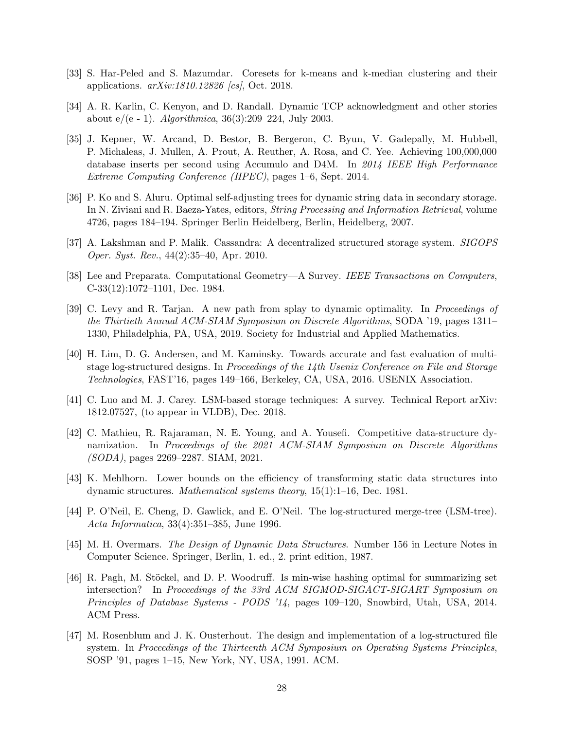- <span id="page-27-9"></span><span id="page-27-1"></span>[33] S. Har-Peled and S. Mazumdar. Coresets for k-means and k-median clustering and their applications. arXiv:1810.12826 [cs], Oct. 2018.
- <span id="page-27-6"></span>[34] A. R. Karlin, C. Kenyon, and D. Randall. Dynamic TCP acknowledgment and other stories about  $e/(e - 1)$ . *Algorithmica*, 36(3):209–224, July 2003.
- [35] J. Kepner, W. Arcand, D. Bestor, B. Bergeron, C. Byun, V. Gadepally, M. Hubbell, P. Michaleas, J. Mullen, A. Prout, A. Reuther, A. Rosa, and C. Yee. Achieving 100,000,000 database inserts per second using Accumulo and D4M. In 2014 IEEE High Performance Extreme Computing Conference (HPEC), pages 1–6, Sept. 2014.
- <span id="page-27-12"></span>[36] P. Ko and S. Aluru. Optimal self-adjusting trees for dynamic string data in secondary storage. In N. Ziviani and R. Baeza-Yates, editors, String Processing and Information Retrieval, volume 4726, pages 184–194. Springer Berlin Heidelberg, Berlin, Heidelberg, 2007.
- <span id="page-27-7"></span><span id="page-27-0"></span>[37] A. Lakshman and P. Malik. Cassandra: A decentralized structured storage system. SIGOPS Oper. Syst. Rev., 44(2):35–40, Apr. 2010.
- <span id="page-27-13"></span>[38] Lee and Preparata. Computational Geometry—A Survey. IEEE Transactions on Computers, C-33(12):1072–1101, Dec. 1984.
- [39] C. Levy and R. Tarjan. A new path from splay to dynamic optimality. In Proceedings of the Thirtieth Annual ACM-SIAM Symposium on Discrete Algorithms, SODA '19, pages 1311– 1330, Philadelphia, PA, USA, 2019. Society for Industrial and Applied Mathematics.
- <span id="page-27-10"></span>[40] H. Lim, D. G. Andersen, and M. Kaminsky. Towards accurate and fast evaluation of multistage log-structured designs. In Proceedings of the 14th Usenix Conference on File and Storage Technologies, FAST'16, pages 149–166, Berkeley, CA, USA, 2016. USENIX Association.
- <span id="page-27-8"></span>[41] C. Luo and M. J. Carey. LSM-based storage techniques: A survey. Technical Report arXiv: 1812.07527, (to appear in VLDB), Dec. 2018.
- <span id="page-27-2"></span>[42] C. Mathieu, R. Rajaraman, N. E. Young, and A. Yousefi. Competitive data-structure dynamization. In Proceedings of the 2021 ACM-SIAM Symposium on Discrete Algorithms (SODA), pages 2269–2287. SIAM, 2021.
- <span id="page-27-11"></span>[43] K. Mehlhorn. Lower bounds on the efficiency of transforming static data structures into dynamic structures. Mathematical systems theory, 15(1):1–16, Dec. 1981.
- <span id="page-27-4"></span>[44] P. O'Neil, E. Cheng, D. Gawlick, and E. O'Neil. The log-structured merge-tree (LSM-tree). Acta Informatica, 33(4):351–385, June 1996.
- <span id="page-27-3"></span>[45] M. H. Overmars. The Design of Dynamic Data Structures. Number 156 in Lecture Notes in Computer Science. Springer, Berlin, 1. ed., 2. print edition, 1987.
- <span id="page-27-14"></span>[46] R. Pagh, M. Stöckel, and D. P. Woodruff. Is min-wise hashing optimal for summarizing set intersection? In Proceedings of the 33rd ACM SIGMOD-SIGACT-SIGART Symposium on Principles of Database Systems - PODS '14, pages 109–120, Snowbird, Utah, USA, 2014. ACM Press.
- <span id="page-27-5"></span>[47] M. Rosenblum and J. K. Ousterhout. The design and implementation of a log-structured file system. In Proceedings of the Thirteenth ACM Symposium on Operating Systems Principles, SOSP '91, pages 1–15, New York, NY, USA, 1991. ACM.